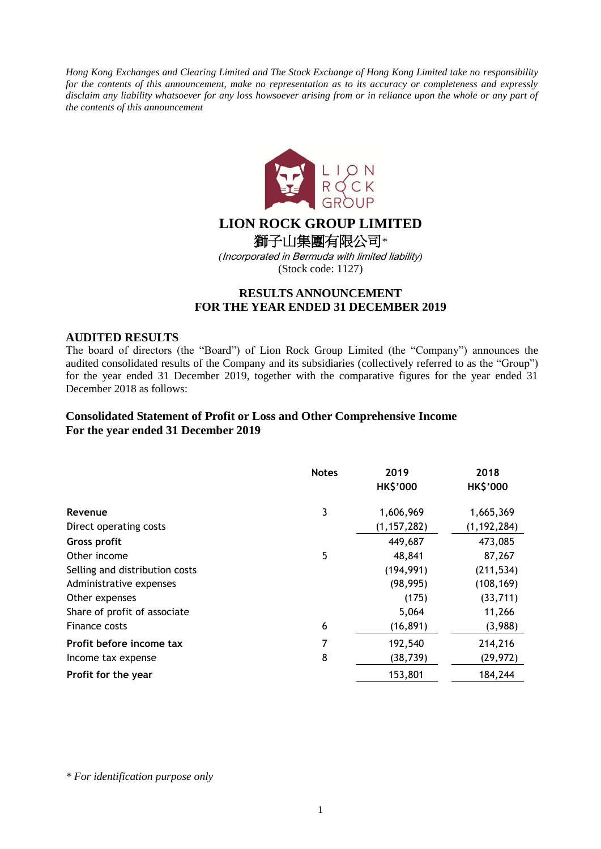*Hong Kong Exchanges and Clearing Limited and The Stock Exchange of Hong Kong Limited take no responsibility for the contents of this announcement, make no representation as to its accuracy or completeness and expressly disclaim any liability whatsoever for any loss howsoever arising from or in reliance upon the whole or any part of the contents of this announcement*



# **LION ROCK GROUP LIMITED**

獅子山集團有限公司*\**

*(*Incorporated in Bermuda with limited liability*)* (Stock code: 1127)

# **RESULTS ANNOUNCEMENT FOR THE YEAR ENDED 31 DECEMBER 2019**

#### **AUDITED RESULTS**

The board of directors (the "Board") of Lion Rock Group Limited (the "Company") announces the audited consolidated results of the Company and its subsidiaries (collectively referred to as the "Group") for the year ended 31 December 2019, together with the comparative figures for the year ended 31 December 2018 as follows:

# **Consolidated Statement of Profit or Loss and Other Comprehensive Income For the year ended 31 December 2019**

|                                | <b>Notes</b> | 2019<br><b>HK\$'000</b> | 2018<br><b>HK\$'000</b> |
|--------------------------------|--------------|-------------------------|-------------------------|
| Revenue                        | 3            | 1,606,969               | 1,665,369               |
| Direct operating costs         |              | (1, 157, 282)           | (1, 192, 284)           |
| Gross profit                   |              | 449,687                 | 473,085                 |
| Other income                   | 5            | 48,841                  | 87,267                  |
| Selling and distribution costs |              | (194, 991)              | (211, 534)              |
| Administrative expenses        |              | (98, 995)               | (108, 169)              |
| Other expenses                 |              | (175)                   | (33, 711)               |
| Share of profit of associate   |              | 5,064                   | 11,266                  |
| Finance costs                  | 6            | (16, 891)               | (3,988)                 |
| Profit before income tax       | 7            | 192,540                 | 214,216                 |
| Income tax expense             | 8            | (38, 739)               | (29, 972)               |
| Profit for the year            |              | 153,801                 | 184,244                 |

*\* For identification purpose only*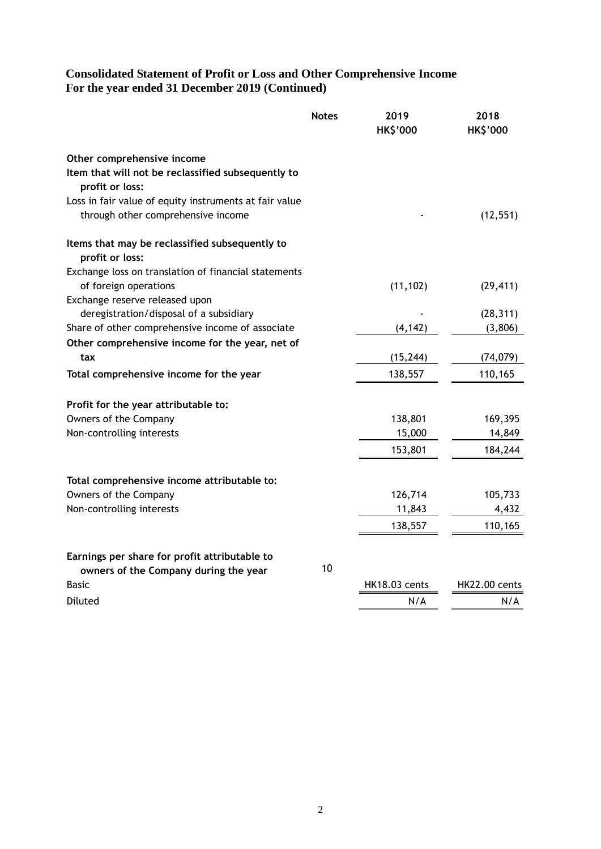# **Consolidated Statement of Profit or Loss and Other Comprehensive Income For the year ended 31 December 2019 (Continued)**

|                                                                       | <b>Notes</b> | 2019<br><b>HK\$'000</b> | 2018<br><b>HK\$'000</b> |
|-----------------------------------------------------------------------|--------------|-------------------------|-------------------------|
| Other comprehensive income                                            |              |                         |                         |
| Item that will not be reclassified subsequently to<br>profit or loss: |              |                         |                         |
| Loss in fair value of equity instruments at fair value                |              |                         |                         |
| through other comprehensive income                                    |              |                         | (12, 551)               |
| Items that may be reclassified subsequently to<br>profit or loss:     |              |                         |                         |
| Exchange loss on translation of financial statements                  |              |                         |                         |
| of foreign operations                                                 |              | (11, 102)               | (29, 411)               |
| Exchange reserve released upon                                        |              |                         |                         |
| deregistration/disposal of a subsidiary                               |              |                         | (28, 311)               |
| Share of other comprehensive income of associate                      |              | (4, 142)                | (3,806)                 |
| Other comprehensive income for the year, net of                       |              |                         |                         |
| tax                                                                   |              | (15, 244)               | (74, 079)               |
| Total comprehensive income for the year                               |              | 138,557                 | 110,165                 |
| Profit for the year attributable to:                                  |              |                         |                         |
| Owners of the Company                                                 |              | 138,801                 | 169,395                 |
| Non-controlling interests                                             |              | 15,000                  | 14,849                  |
|                                                                       |              | 153,801                 | 184,244                 |
| Total comprehensive income attributable to:                           |              |                         |                         |
| Owners of the Company                                                 |              | 126,714                 | 105,733                 |
| Non-controlling interests                                             |              | 11,843                  | 4,432                   |
|                                                                       |              | 138,557                 | 110,165                 |
|                                                                       |              |                         |                         |
| Earnings per share for profit attributable to                         |              |                         |                         |
| owners of the Company during the year                                 | 10           |                         |                         |
| <b>Basic</b>                                                          |              | <b>HK18.03 cents</b>    | <b>HK22.00 cents</b>    |
| Diluted                                                               |              | N/A                     | N/A                     |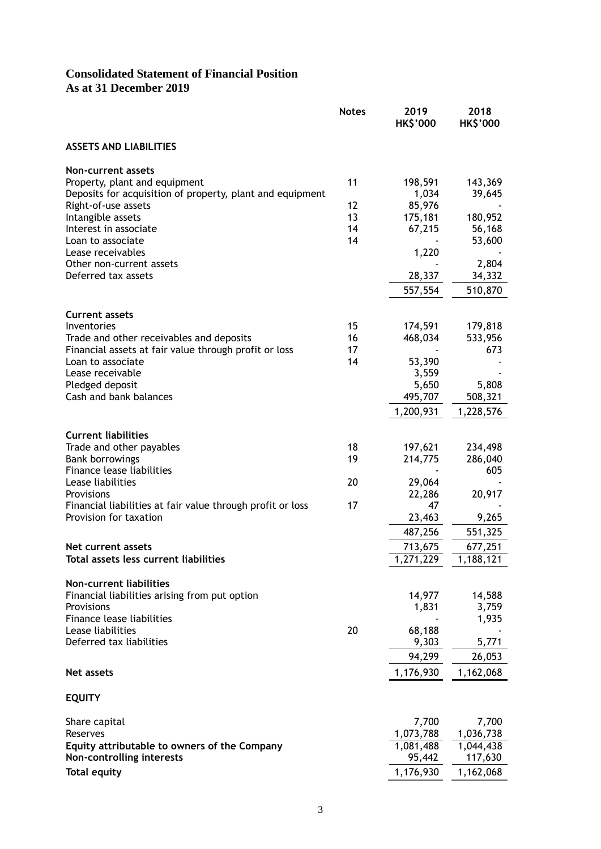# **Consolidated Statement of Financial Position**

**As at 31 December 2019**

|                                                                            | <b>Notes</b> | 2019<br><b>HK\$'000</b> | 2018<br><b>HK\$'000</b> |
|----------------------------------------------------------------------------|--------------|-------------------------|-------------------------|
| <b>ASSETS AND LIABILITIES</b>                                              |              |                         |                         |
| Non-current assets                                                         |              |                         |                         |
| Property, plant and equipment                                              | 11           | 198,591                 | 143,369                 |
| Deposits for acquisition of property, plant and equipment                  |              | 1,034                   | 39,645                  |
| Right-of-use assets<br>Intangible assets                                   | 12<br>13     | 85,976<br>175,181       | 180,952                 |
| Interest in associate                                                      | 14           | 67,215                  | 56,168                  |
| Loan to associate                                                          | 14           |                         | 53,600                  |
| Lease receivables                                                          |              | 1,220                   |                         |
| Other non-current assets<br>Deferred tax assets                            |              |                         | 2,804                   |
|                                                                            |              | 28,337                  | 34,332                  |
|                                                                            |              | 557,554                 | 510,870                 |
| <b>Current assets</b>                                                      |              |                         |                         |
| Inventories                                                                | 15           | 174,591                 | 179,818                 |
| Trade and other receivables and deposits                                   | 16           | 468,034                 | 533,956                 |
| Financial assets at fair value through profit or loss<br>Loan to associate | 17<br>14     | 53,390                  | 673                     |
| Lease receivable                                                           |              | 3,559                   |                         |
| Pledged deposit                                                            |              | 5,650                   | 5,808                   |
| Cash and bank balances                                                     |              | 495,707                 | 508,321                 |
|                                                                            |              | 1,200,931               | 1,228,576               |
| <b>Current liabilities</b>                                                 |              |                         |                         |
| Trade and other payables                                                   | 18           | 197,621                 | 234,498                 |
| <b>Bank borrowings</b>                                                     | 19           | 214,775                 | 286,040                 |
| Finance lease liabilities                                                  |              |                         | 605                     |
| Lease liabilities                                                          | 20           | 29,064                  |                         |
| Provisions<br>Financial liabilities at fair value through profit or loss   | 17           | 22,286<br>47            | 20,917                  |
| Provision for taxation                                                     |              | 23,463                  | 9,265                   |
|                                                                            |              | 487,256                 | 551,325                 |
| Net current assets                                                         |              | 713,675                 | 677,251                 |
| Total assets less current liabilities                                      |              | 1,271,229               | 1,188,121               |
|                                                                            |              |                         |                         |
| Non-current liabilities<br>Financial liabilities arising from put option   |              | 14,977                  | 14,588                  |
| Provisions                                                                 |              | 1,831                   | 3,759                   |
| Finance lease liabilities                                                  |              |                         | 1,935                   |
| Lease liabilities                                                          | 20           | 68,188                  |                         |
| Deferred tax liabilities                                                   |              | 9,303                   | 5,771                   |
|                                                                            |              | 94,299                  | 26,053                  |
| Net assets                                                                 |              | 1,176,930               | 1,162,068               |
| <b>EQUITY</b>                                                              |              |                         |                         |
| Share capital                                                              |              | 7,700                   | 7,700                   |
| Reserves                                                                   |              | 1,073,788               | 1,036,738               |
| Equity attributable to owners of the Company                               |              | 1,081,488               | 1,044,438               |
| Non-controlling interests                                                  |              | 95,442                  | 117,630                 |
| <b>Total equity</b>                                                        |              | 1,176,930               | 1,162,068               |
|                                                                            |              |                         |                         |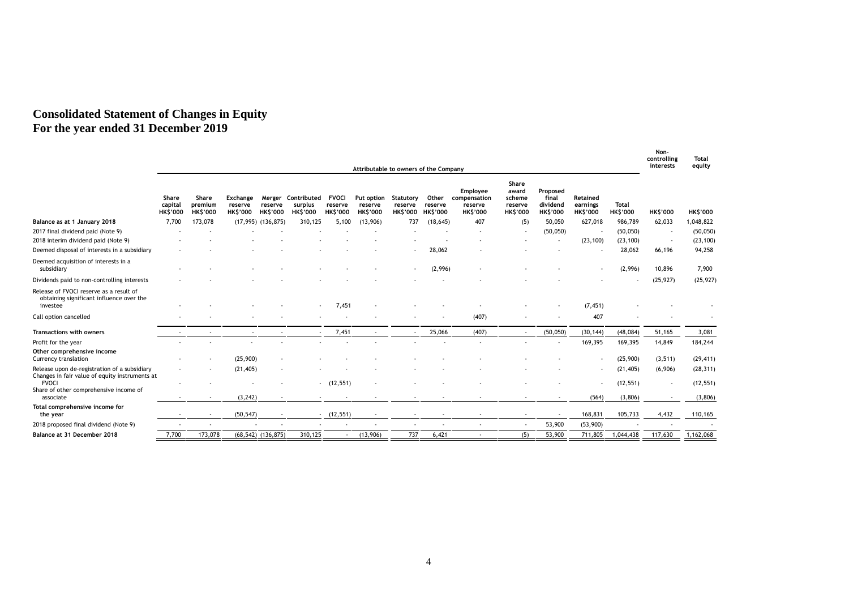#### **Consolidated Statement of Changes in Equity For the year ended 31 December 2019**

|                                                                                                 |                                     |                                           |                                        |                                              |                                           |                                           |                                         |                                         |                                    |                                                        |                                                        |                                                  |                                                |                                 | Non-<br>controlling<br>interests | <b>Total</b><br>equity |
|-------------------------------------------------------------------------------------------------|-------------------------------------|-------------------------------------------|----------------------------------------|----------------------------------------------|-------------------------------------------|-------------------------------------------|-----------------------------------------|-----------------------------------------|------------------------------------|--------------------------------------------------------|--------------------------------------------------------|--------------------------------------------------|------------------------------------------------|---------------------------------|----------------------------------|------------------------|
|                                                                                                 |                                     |                                           |                                        |                                              |                                           |                                           | Attributable to owners of the Company   |                                         |                                    |                                                        |                                                        |                                                  |                                                |                                 |                                  |                        |
|                                                                                                 | Share<br>capital<br><b>HK\$'000</b> | <b>Share</b><br>premium<br><b>HKS'000</b> | Exchange<br>reserve<br><b>HK\$'000</b> | Merger<br>reserve<br><b>HKS'000</b>          | Contributed<br>surplus<br><b>HK\$'000</b> | <b>FVOCI</b><br>reserve<br><b>HKS'000</b> | Put option<br>reserve<br><b>HKS'000</b> | Statutory<br>reserve<br><b>HK\$'000</b> | Other<br>reserve<br><b>HKS'000</b> | Employee<br>compensation<br>reserve<br><b>HK\$'000</b> | Share<br>award<br>scheme<br>reserve<br><b>HK\$'000</b> | Proposed<br>final<br>dividend<br><b>HK\$'000</b> | <b>Retained</b><br>earnings<br><b>HK\$'000</b> | <b>Total</b><br><b>HK\$'000</b> | <b>HK\$'000</b>                  | <b>HK\$'000</b>        |
| Balance as at 1 January 2018                                                                    | 7,700                               | 173,078                                   |                                        | $(17,995)$ $(136,875)$                       | 310,125                                   | 5,100                                     | (13,906)                                | 737                                     | (18, 645)                          | 407                                                    | (5)                                                    | 50,050                                           | 627,018                                        | 986,789                         | 62,033                           | 1,048,822              |
| 2017 final dividend paid (Note 9)                                                               |                                     |                                           |                                        |                                              |                                           |                                           |                                         |                                         |                                    |                                                        |                                                        | (50,050)                                         |                                                | (50, 050)                       |                                  | (50,050)               |
| 2018 interim dividend paid (Note 9)                                                             |                                     |                                           |                                        |                                              |                                           |                                           |                                         |                                         |                                    |                                                        |                                                        |                                                  | (23, 100)                                      | (23, 100)                       |                                  | (23, 100)              |
| Deemed disposal of interests in a subsidiary                                                    |                                     |                                           |                                        |                                              |                                           |                                           |                                         |                                         | 28,062                             |                                                        |                                                        |                                                  |                                                | 28,062                          | 66,196                           | 94,258                 |
| Deemed acquisition of interests in a<br>subsidiary                                              |                                     |                                           |                                        |                                              |                                           |                                           |                                         |                                         | (2,996)                            |                                                        |                                                        |                                                  |                                                | (2,996)                         | 10,896                           | 7,900                  |
| Dividends paid to non-controlling interests                                                     |                                     |                                           |                                        |                                              |                                           |                                           |                                         |                                         |                                    |                                                        |                                                        |                                                  |                                                |                                 | (25, 927)                        | (25, 927)              |
| Release of FVOCI reserve as a result of<br>obtaining significant influence over the<br>investee |                                     |                                           |                                        |                                              |                                           | 7,451                                     |                                         |                                         |                                    |                                                        |                                                        |                                                  | (7, 451)                                       |                                 |                                  |                        |
| Call option cancelled                                                                           |                                     |                                           |                                        |                                              |                                           |                                           |                                         |                                         |                                    | (407)                                                  |                                                        |                                                  | 407                                            |                                 |                                  |                        |
|                                                                                                 |                                     |                                           |                                        |                                              |                                           |                                           |                                         |                                         |                                    |                                                        |                                                        |                                                  |                                                |                                 |                                  |                        |
| <b>Transactions with owners</b>                                                                 |                                     |                                           |                                        |                                              |                                           | 7,451                                     |                                         |                                         | 25,066                             | (407)                                                  |                                                        | (50, 050)                                        | (30, 144)                                      | (48, 084)                       | 51,165                           | 3,081                  |
| Profit for the year                                                                             |                                     |                                           |                                        |                                              |                                           |                                           |                                         |                                         |                                    |                                                        |                                                        |                                                  | 169,395                                        | 169,395                         | 14,849                           | 184,244                |
| Other comprehensive income<br>Currency translation                                              |                                     |                                           | (25,900)                               |                                              |                                           |                                           |                                         |                                         |                                    |                                                        |                                                        |                                                  |                                                | (25,900)                        | (3, 511)                         | (29, 411)              |
| Release upon de-registration of a subsidiary<br>Changes in fair value of equity instruments at  |                                     |                                           | (21, 405)                              |                                              |                                           |                                           |                                         |                                         |                                    |                                                        |                                                        |                                                  |                                                | (21, 405)                       | (6,906)                          | (28, 311)              |
| <b>FVOCI</b><br>Share of other comprehensive income of                                          |                                     |                                           |                                        |                                              | $\overline{\phantom{a}}$                  | (12, 551)                                 | $\overline{\phantom{a}}$                |                                         |                                    |                                                        |                                                        |                                                  |                                                | (12, 551)                       |                                  | (12, 551)              |
| associate                                                                                       |                                     |                                           | (3, 242)                               |                                              |                                           |                                           |                                         |                                         |                                    |                                                        |                                                        |                                                  | (564)                                          | (3,806)                         |                                  | (3,806)                |
| Total comprehensive income for<br>the year                                                      |                                     |                                           | (50, 547)                              |                                              | $\overline{\phantom{a}}$                  | (12, 551)                                 |                                         |                                         |                                    |                                                        |                                                        |                                                  | 168,831                                        | 105,733                         | 4,432                            | 110,165                |
| 2018 proposed final dividend (Note 9)                                                           |                                     |                                           |                                        |                                              |                                           |                                           |                                         |                                         |                                    |                                                        |                                                        | 53,900                                           | (53,900)                                       |                                 |                                  |                        |
| Balance at 31 December 2018                                                                     | 7,700                               | 173,078                                   |                                        | $\overline{(68,542)}$ $\overline{(136,875)}$ | 310,125                                   |                                           | (13,906)                                | 737                                     | 6,421                              |                                                        | (5)                                                    | 53,900                                           | 711,805                                        | 1,044,438                       | 117,630                          | 1,162,068              |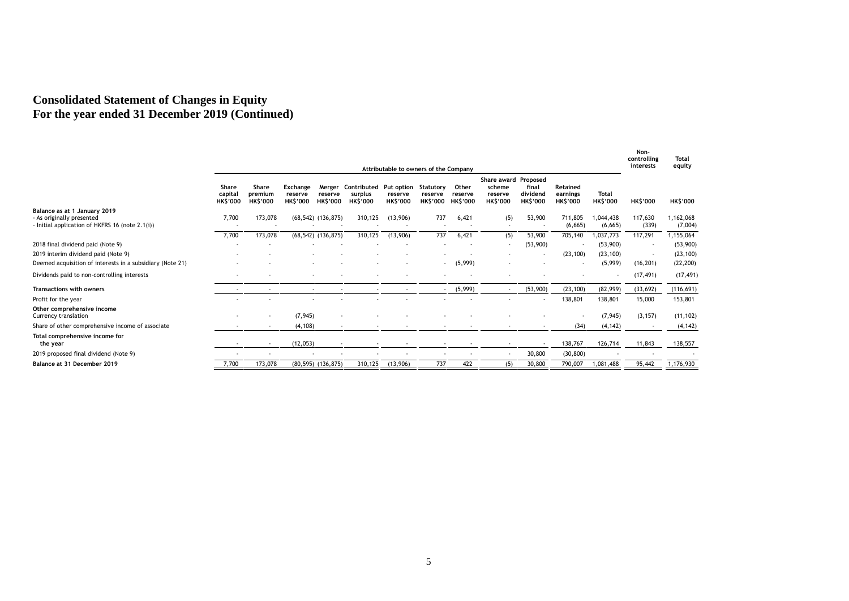### **Consolidated Statement of Changes in Equity For the year ended 31 December 2019 (Continued)**

|                                                                                                          | Attributable to owners of the Company |                                     |                                        |                                     |                                                      |                            |                                         |                                     |                                                              | Non-<br>controlling<br>interests     | Total<br>equity                         |                                 |                  |                      |
|----------------------------------------------------------------------------------------------------------|---------------------------------------|-------------------------------------|----------------------------------------|-------------------------------------|------------------------------------------------------|----------------------------|-----------------------------------------|-------------------------------------|--------------------------------------------------------------|--------------------------------------|-----------------------------------------|---------------------------------|------------------|----------------------|
|                                                                                                          | Share<br>capital<br><b>HK\$'000</b>   | Share<br>premium<br><b>HK\$'000</b> | Exchange<br>reserve<br><b>HK\$'000</b> | Merger<br>reserve<br><b>HKS'000</b> | Contributed Put option<br>surplus<br><b>HK\$'000</b> | reserve<br><b>HK\$'000</b> | Statutory<br>reserve<br><b>HK\$'000</b> | Other<br>reserve<br><b>HK\$'000</b> | Share award Proposed<br>scheme<br>reserve<br><b>HK\$'000</b> | final<br>dividend<br><b>HK\$'000</b> | Retained<br>earnings<br><b>HK\$'000</b> | <b>Total</b><br><b>HK\$'000</b> | <b>HK\$'000</b>  | <b>HK\$'000</b>      |
| Balance as at 1 January 2019<br>As originally presented<br>Initial application of HKFRS 16 (note 2.1(i)) | 7,700                                 | 173,078                             |                                        | $(68, 542)$ $(136, 875)$            | 310,125                                              | (13,906)                   | 737                                     | 6,421                               | (5)                                                          | 53,900                               | 711,805<br>(6, 665)                     | 1,044,438<br>(6,665)            | 117,630<br>(339) | 1,162,068<br>(7,004) |
|                                                                                                          | 7,700                                 | 173,078                             |                                        | $(68, 542)$ $(136, 875)$            | 310,125                                              | (13,906)                   | 737                                     | 6,421                               | (5)                                                          | 53,900                               | 705,140                                 | 1,037,773                       | 117,291          | ,155,064             |
| 2018 final dividend paid (Note 9)                                                                        |                                       |                                     |                                        |                                     |                                                      |                            |                                         |                                     |                                                              | (53,900)                             |                                         | (53,900)                        |                  | (53,900)             |
| 2019 interim dividend paid (Note 9)                                                                      |                                       |                                     |                                        |                                     |                                                      |                            |                                         |                                     |                                                              | $\overline{\phantom{a}}$             | (23, 100)                               | (23, 100)                       |                  | (23, 100)            |
| Deemed acquisition of interests in a subsidiary (Note 21)                                                |                                       |                                     |                                        |                                     |                                                      |                            | $\sim$                                  | (5,999)                             |                                                              |                                      |                                         | (5,999)                         | (16, 201)        | (22, 200)            |
| Dividends paid to non-controlling interests                                                              |                                       |                                     |                                        |                                     |                                                      |                            |                                         |                                     |                                                              |                                      |                                         |                                 | (17, 491)        | (17, 491)            |
| <b>Transactions with owners</b>                                                                          |                                       |                                     |                                        |                                     |                                                      | $\sim$                     |                                         | (5,999)                             |                                                              | (53,900)                             | (23, 100)                               | (82,999)                        | (33,692)         | (116, 691)           |
| Profit for the year                                                                                      |                                       |                                     |                                        |                                     |                                                      |                            |                                         |                                     |                                                              |                                      | 138,801                                 | 138,801                         | 15,000           | 153,801              |
| Other comprehensive income<br>Currency translation                                                       |                                       |                                     | (7, 945)                               |                                     |                                                      |                            |                                         |                                     |                                                              |                                      |                                         | (7, 945)                        | (3, 157)         | (11, 102)            |
| Share of other comprehensive income of associate                                                         |                                       |                                     | (4, 108)                               |                                     |                                                      |                            |                                         |                                     |                                                              |                                      | (34)                                    | (4, 142)                        |                  | (4, 142)             |
| Total comprehensive income for<br>the year                                                               |                                       | $\sim$                              | (12, 053)                              |                                     |                                                      |                            | $\sim$                                  |                                     |                                                              |                                      | 138,767                                 | 126,714                         | 11,843           | 138,557              |
| 2019 proposed final dividend (Note 9)                                                                    |                                       |                                     |                                        |                                     |                                                      |                            |                                         |                                     |                                                              | 30,800                               | (30, 800)                               |                                 |                  |                      |
| Balance at 31 December 2019                                                                              | 7,700                                 | 173,078                             |                                        | $(80,595)$ $(136,875)$              | 310,125                                              | (13,906)                   | 737                                     | 422                                 | (5)                                                          | 30,800                               | 790,007                                 | 1,081,488                       | 95,442           | 1,176,930            |
|                                                                                                          |                                       |                                     |                                        |                                     |                                                      |                            |                                         |                                     |                                                              |                                      |                                         |                                 |                  |                      |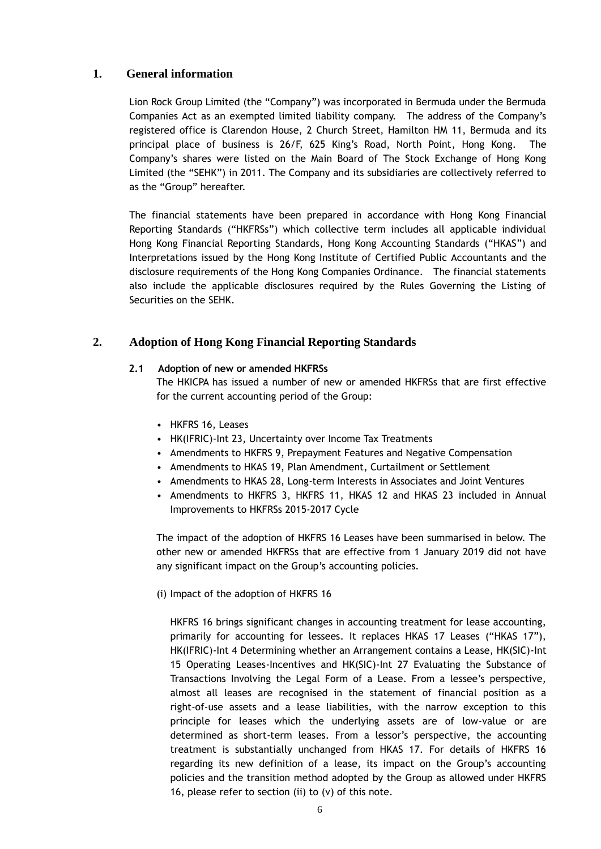# **1. General information**

Lion Rock Group Limited (the "Company") was incorporated in Bermuda under the Bermuda Companies Act as an exempted limited liability company. The address of the Company's registered office is Clarendon House, 2 Church Street, Hamilton HM 11, Bermuda and its principal place of business is 26/F, 625 King's Road, North Point, Hong Kong. The Company's shares were listed on the Main Board of The Stock Exchange of Hong Kong Limited (the "SEHK") in 2011. The Company and its subsidiaries are collectively referred to as the "Group" hereafter.

The financial statements have been prepared in accordance with Hong Kong Financial Reporting Standards ("HKFRSs") which collective term includes all applicable individual Hong Kong Financial Reporting Standards, Hong Kong Accounting Standards ("HKAS") and Interpretations issued by the Hong Kong Institute of Certified Public Accountants and the disclosure requirements of the Hong Kong Companies Ordinance. The financial statements also include the applicable disclosures required by the Rules Governing the Listing of Securities on the SEHK.

# **2. Adoption of Hong Kong Financial Reporting Standards**

#### **2.1 Adoption of new or amended HKFRSs**

The HKICPA has issued a number of new or amended HKFRSs that are first effective for the current accounting period of the Group:

- HKFRS 16, Leases
- HK(IFRIC)-Int 23, Uncertainty over Income Tax Treatments
- Amendments to HKFRS 9, Prepayment Features and Negative Compensation
- Amendments to HKAS 19, Plan Amendment, Curtailment or Settlement
- Amendments to HKAS 28, Long-term Interests in Associates and Joint Ventures
- Amendments to HKFRS 3, HKFRS 11, HKAS 12 and HKAS 23 included in Annual Improvements to HKFRSs 2015-2017 Cycle

The impact of the adoption of HKFRS 16 Leases have been summarised in below. The other new or amended HKFRSs that are effective from 1 January 2019 did not have any significant impact on the Group's accounting policies.

#### (i) Impact of the adoption of HKFRS 16

HKFRS 16 brings significant changes in accounting treatment for lease accounting, primarily for accounting for lessees. It replaces HKAS 17 Leases ("HKAS 17"), HK(IFRIC)-Int 4 Determining whether an Arrangement contains a Lease, HK(SIC)-Int 15 Operating Leases-Incentives and HK(SIC)-Int 27 Evaluating the Substance of Transactions Involving the Legal Form of a Lease. From a lessee's perspective, almost all leases are recognised in the statement of financial position as a right-of-use assets and a lease liabilities, with the narrow exception to this principle for leases which the underlying assets are of low-value or are determined as short-term leases. From a lessor's perspective, the accounting treatment is substantially unchanged from HKAS 17. For details of HKFRS 16 regarding its new definition of a lease, its impact on the Group's accounting policies and the transition method adopted by the Group as allowed under HKFRS 16, please refer to section (ii) to (v) of this note.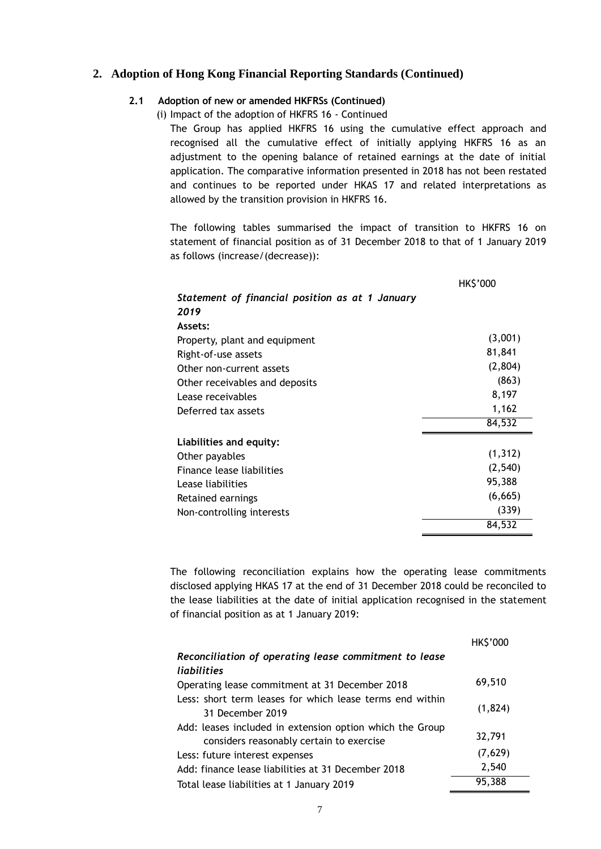#### **2.1 Adoption of new or amended HKFRSs (Continued)**

(i) Impact of the adoption of HKFRS 16 - Continued

The Group has applied HKFRS 16 using the cumulative effect approach and recognised all the cumulative effect of initially applying HKFRS 16 as an adjustment to the opening balance of retained earnings at the date of initial application. The comparative information presented in 2018 has not been restated and continues to be reported under HKAS 17 and related interpretations as allowed by the transition provision in HKFRS 16.

The following tables summarised the impact of transition to HKFRS 16 on statement of financial position as of 31 December 2018 to that of 1 January 2019 as follows (increase/(decrease)):

|                                                 | HK\$'000 |
|-------------------------------------------------|----------|
| Statement of financial position as at 1 January |          |
| 2019                                            |          |
| Assets:                                         |          |
| Property, plant and equipment                   | (3,001)  |
| Right-of-use assets                             | 81,841   |
| Other non-current assets                        | (2,804)  |
| Other receivables and deposits                  | (863)    |
| Lease receivables                               | 8,197    |
| Deferred tax assets                             | 1,162    |
|                                                 | 84,532   |
| Liabilities and equity:                         |          |
| Other payables                                  | (1, 312) |
| Finance lease liabilities                       | (2,540)  |
| Lease liabilities                               | 95,388   |
| Retained earnings                               | (6, 665) |
| Non-controlling interests                       | (339)    |
|                                                 | 84,532   |

The following reconciliation explains how the operating lease commitments disclosed applying HKAS 17 at the end of 31 December 2018 could be reconciled to the lease liabilities at the date of initial application recognised in the statement of financial position as at 1 January 2019:

|                                                                                                      | HK\$'000 |
|------------------------------------------------------------------------------------------------------|----------|
| Reconciliation of operating lease commitment to lease                                                |          |
| liabilities                                                                                          |          |
| Operating lease commitment at 31 December 2018                                                       | 69,510   |
| Less: short term leases for which lease terms end within<br>31 December 2019                         | (1,824)  |
| Add: leases included in extension option which the Group<br>considers reasonably certain to exercise | 32,791   |
| Less: future interest expenses                                                                       | (7,629)  |
| Add: finance lease liabilities at 31 December 2018                                                   | 2,540    |
| Total lease liabilities at 1 January 2019                                                            | 95,388   |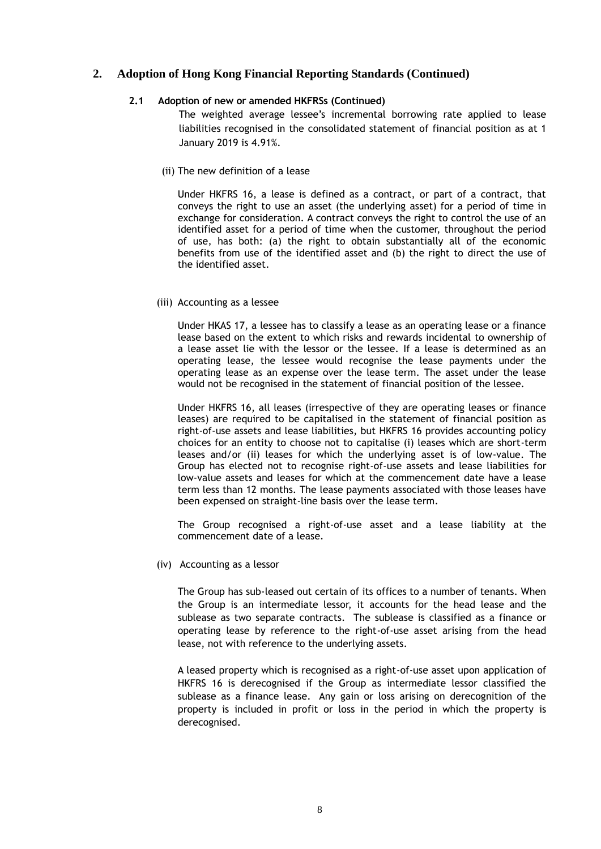#### **2.1 Adoption of new or amended HKFRSs (Continued)**

The weighted average lessee's incremental borrowing rate applied to lease liabilities recognised in the consolidated statement of financial position as at 1 January 2019 is 4.91%.

(ii) The new definition of a lease

Under HKFRS 16, a lease is defined as a contract, or part of a contract, that conveys the right to use an asset (the underlying asset) for a period of time in exchange for consideration. A contract conveys the right to control the use of an identified asset for a period of time when the customer, throughout the period of use, has both: (a) the right to obtain substantially all of the economic benefits from use of the identified asset and (b) the right to direct the use of the identified asset.

(iii) Accounting as a lessee

Under HKAS 17, a lessee has to classify a lease as an operating lease or a finance lease based on the extent to which risks and rewards incidental to ownership of a lease asset lie with the lessor or the lessee. If a lease is determined as an operating lease, the lessee would recognise the lease payments under the operating lease as an expense over the lease term. The asset under the lease would not be recognised in the statement of financial position of the lessee.

Under HKFRS 16, all leases (irrespective of they are operating leases or finance leases) are required to be capitalised in the statement of financial position as right-of-use assets and lease liabilities, but HKFRS 16 provides accounting policy choices for an entity to choose not to capitalise (i) leases which are short-term leases and/or (ii) leases for which the underlying asset is of low-value. The Group has elected not to recognise right-of-use assets and lease liabilities for low-value assets and leases for which at the commencement date have a lease term less than 12 months. The lease payments associated with those leases have been expensed on straight-line basis over the lease term.

The Group recognised a right-of-use asset and a lease liability at the commencement date of a lease.

(iv) Accounting as a lessor

The Group has sub-leased out certain of its offices to a number of tenants. When the Group is an intermediate lessor, it accounts for the head lease and the sublease as two separate contracts. The sublease is classified as a finance or operating lease by reference to the right-of-use asset arising from the head lease, not with reference to the underlying assets.

A leased property which is recognised as a right-of-use asset upon application of HKFRS 16 is derecognised if the Group as intermediate lessor classified the sublease as a finance lease. Any gain or loss arising on derecognition of the property is included in profit or loss in the period in which the property is derecognised.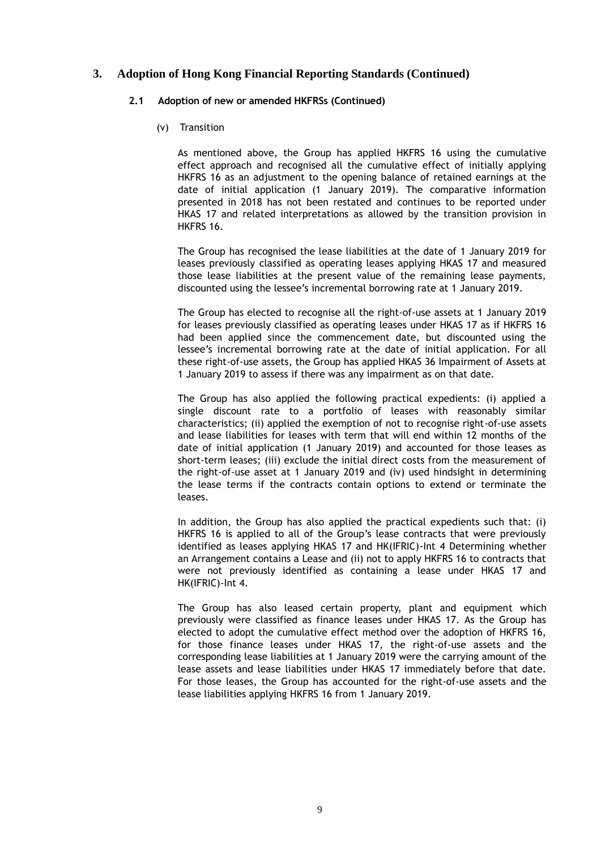#### **2.1 Adoption of new or amended HKFRSs (Continued)**

(v) Transition

As mentioned above, the Group has applied HKFRS 16 using the cumulative effect approach and recognised all the cumulative effect of initially applying HKFRS 16 as an adjustment to the opening balance of retained earnings at the date of initial application (1 January 2019). The comparative information presented in 2018 has not been restated and continues to be reported under HKAS 17 and related interpretations as allowed by the transition provision in HKFRS 16.

The Group has recognised the lease liabilities at the date of 1 January 2019 for leases previously classified as operating leases applying HKAS 17 and measured those lease liabilities at the present value of the remaining lease payments, discounted using the lessee's incremental borrowing rate at 1 January 2019.

The Group has elected to recognise all the right-of-use assets at 1 January 2019 for leases previously classified as operating leases under HKAS 17 as if HKFRS 16 had been applied since the commencement date, but discounted using the lessee's incremental borrowing rate at the date of initial application. For all these right-of-use assets, the Group has applied HKAS 36 Impairment of Assets at 1 January 2019 to assess if there was any impairment as on that date.

The Group has also applied the following practical expedients: (i) applied a single discount rate to a portfolio of leases with reasonably similar characteristics; (ii) applied the exemption of not to recognise right-of-use assets and lease liabilities for leases with term that will end within 12 months of the date of initial application (1 January 2019) and accounted for those leases as short-term leases; (iii) exclude the initial direct costs from the measurement of the right-of-use asset at 1 January 2019 and (iv) used hindsight in determining the lease terms if the contracts contain options to extend or terminate the leases.

In addition, the Group has also applied the practical expedients such that: (i) HKFRS 16 is applied to all of the Group's lease contracts that were previously identified as leases applying HKAS 17 and HK(IFRIC)-Int 4 Determining whether an Arrangement contains a Lease and (ii) not to apply HKFRS 16 to contracts that were not previously identified as containing a lease under HKAS 17 and HK(IFRIC)-Int 4.

The Group has also leased certain property, plant and equipment which previously were classified as finance leases under HKAS 17. As the Group has elected to adopt the cumulative effect method over the adoption of HKFRS 16, for those finance leases under HKAS 17, the right-of-use assets and the corresponding lease liabilities at 1 January 2019 were the carrying amount of the lease assets and lease liabilities under HKAS 17 immediately before that date. For those leases, the Group has accounted for the right-of-use assets and the lease liabilities applying HKFRS 16 from 1 January 2019.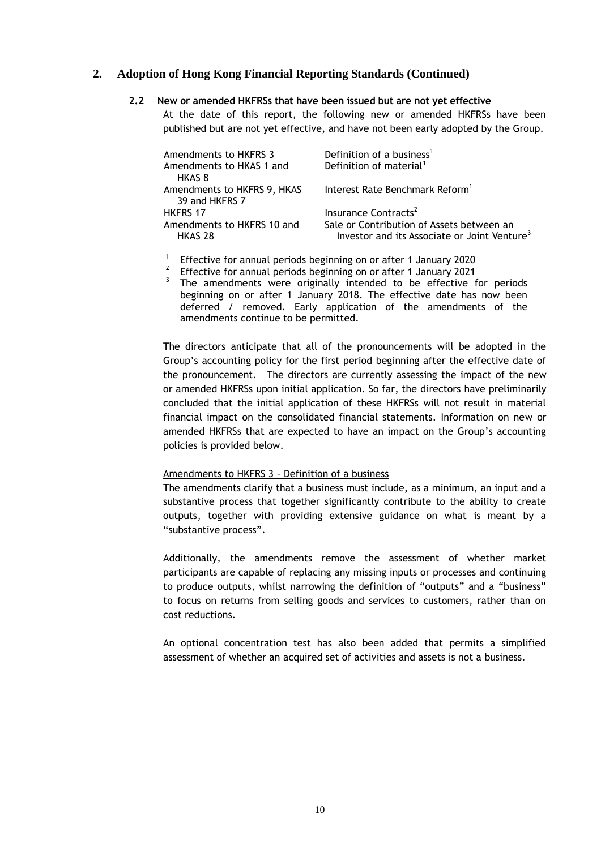#### **2.2 New or amended HKFRSs that have been issued but are not yet effective**

At the date of this report, the following new or amended HKFRSs have been published but are not yet effective, and have not been early adopted by the Group.

| Definition of a business <sup>1</sup><br>Definition of material <sup>1</sup>                          |
|-------------------------------------------------------------------------------------------------------|
| Interest Rate Benchmark Reform <sup>1</sup>                                                           |
| Insurance Contracts <sup>2</sup>                                                                      |
| Sale or Contribution of Assets between an<br>Investor and its Associate or Joint Venture <sup>3</sup> |
|                                                                                                       |

#### <sup>1</sup> Effective for annual periods beginning on or after 1 January 2020

<sup>2</sup> Effective for annual periods beginning on or after 1 January 2021 <sup>3</sup> The amendments were originally intended to be effective for periods beginning on or after 1 January 2018. The effective date has now been deferred / removed. Early application of the amendments of the amendments continue to be permitted.

The directors anticipate that all of the pronouncements will be adopted in the Group's accounting policy for the first period beginning after the effective date of the pronouncement. The directors are currently assessing the impact of the new or amended HKFRSs upon initial application. So far, the directors have preliminarily concluded that the initial application of these HKFRSs will not result in material financial impact on the consolidated financial statements. Information on new or amended HKFRSs that are expected to have an impact on the Group's accounting policies is provided below.

#### Amendments to HKFRS 3 – Definition of a business

The amendments clarify that a business must include, as a minimum, an input and a substantive process that together significantly contribute to the ability to create outputs, together with providing extensive guidance on what is meant by a "substantive process".

Additionally, the amendments remove the assessment of whether market participants are capable of replacing any missing inputs or processes and continuing to produce outputs, whilst narrowing the definition of "outputs" and a "business" to focus on returns from selling goods and services to customers, rather than on cost reductions.

An optional concentration test has also been added that permits a simplified assessment of whether an acquired set of activities and assets is not a business.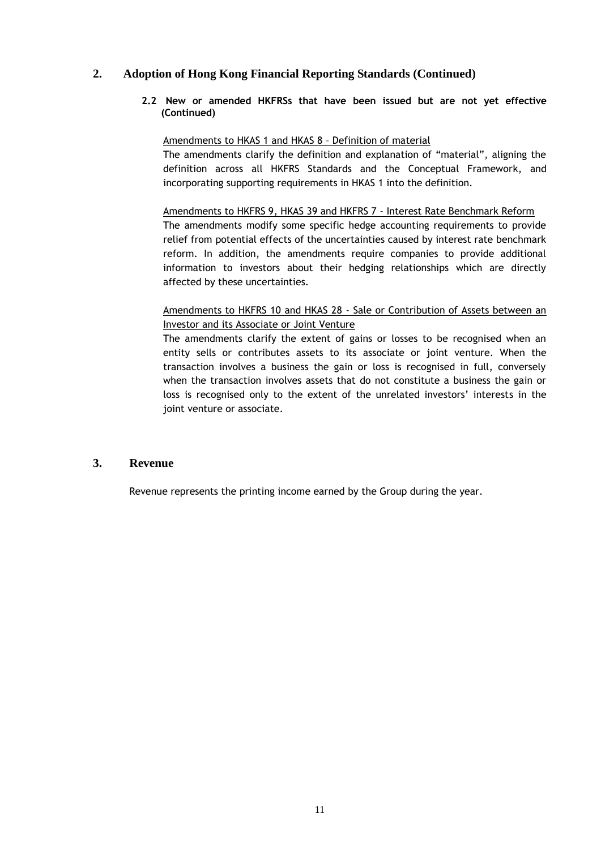**2.2 New or amended HKFRSs that have been issued but are not yet effective (Continued)**

#### Amendments to HKAS 1 and HKAS 8 – Definition of material

The amendments clarify the definition and explanation of "material", aligning the definition across all HKFRS Standards and the Conceptual Framework, and incorporating supporting requirements in HKAS 1 into the definition.

#### Amendments to HKFRS 9, HKAS 39 and HKFRS 7 - Interest Rate Benchmark Reform

The amendments modify some specific hedge accounting requirements to provide relief from potential effects of the uncertainties caused by interest rate benchmark reform. In addition, the amendments require companies to provide additional information to investors about their hedging relationships which are directly affected by these uncertainties.

### Amendments to HKFRS 10 and HKAS 28 - Sale or Contribution of Assets between an Investor and its Associate or Joint Venture

The amendments clarify the extent of gains or losses to be recognised when an entity sells or contributes assets to its associate or joint venture. When the transaction involves a business the gain or loss is recognised in full, conversely when the transaction involves assets that do not constitute a business the gain or loss is recognised only to the extent of the unrelated investors' interests in the joint venture or associate.

# **3. Revenue**

Revenue represents the printing income earned by the Group during the year.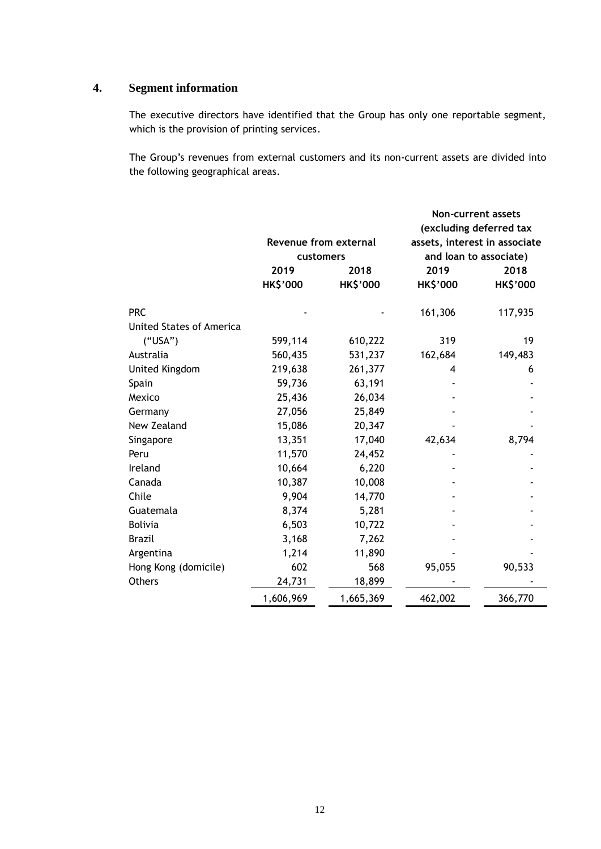# **4. Segment information**

The executive directors have identified that the Group has only one reportable segment, which is the provision of printing services.

The Group's revenues from external customers and its non-current assets are divided into the following geographical areas.

|                                 |                              |                 |                               | <b>Non-current assets</b> |  |  |  |
|---------------------------------|------------------------------|-----------------|-------------------------------|---------------------------|--|--|--|
|                                 |                              |                 |                               | (excluding deferred tax   |  |  |  |
|                                 | <b>Revenue from external</b> |                 | assets, interest in associate |                           |  |  |  |
|                                 | customers                    |                 |                               | and loan to associate)    |  |  |  |
|                                 | 2019                         | 2018            | 2019                          | 2018                      |  |  |  |
|                                 | <b>HK\$'000</b>              | <b>HK\$'000</b> | <b>HK\$'000</b>               | <b>HK\$'000</b>           |  |  |  |
| <b>PRC</b>                      |                              |                 | 161,306                       | 117,935                   |  |  |  |
| <b>United States of America</b> |                              |                 |                               |                           |  |  |  |
| ("USA")                         | 599,114                      | 610,222         | 319                           | 19                        |  |  |  |
| Australia                       | 560,435                      | 531,237         | 162,684                       | 149,483                   |  |  |  |
| United Kingdom                  | 219,638                      | 261,377         | 4                             | 6                         |  |  |  |
| Spain                           | 59,736                       | 63,191          |                               |                           |  |  |  |
| Mexico                          | 25,436                       | 26,034          |                               |                           |  |  |  |
| Germany                         | 27,056                       | 25,849          |                               |                           |  |  |  |
| New Zealand                     | 15,086                       | 20,347          |                               |                           |  |  |  |
| Singapore                       | 13,351                       | 17,040          | 42,634                        | 8,794                     |  |  |  |
| Peru                            | 11,570                       | 24,452          |                               |                           |  |  |  |
| Ireland                         | 10,664                       | 6,220           |                               |                           |  |  |  |
| Canada                          | 10,387                       | 10,008          |                               |                           |  |  |  |
| Chile                           | 9,904                        | 14,770          |                               |                           |  |  |  |
| Guatemala                       | 8,374                        | 5,281           |                               |                           |  |  |  |
| <b>Bolivia</b>                  | 6,503                        | 10,722          |                               |                           |  |  |  |
| <b>Brazil</b>                   | 3,168                        | 7,262           |                               |                           |  |  |  |
| Argentina                       | 1,214                        | 11,890          |                               |                           |  |  |  |
| Hong Kong (domicile)            | 602                          | 568             | 95,055                        | 90,533                    |  |  |  |
| <b>Others</b>                   | 24,731                       | 18,899          |                               |                           |  |  |  |
|                                 | 1,606,969                    | 1,665,369       | 462,002                       | 366,770                   |  |  |  |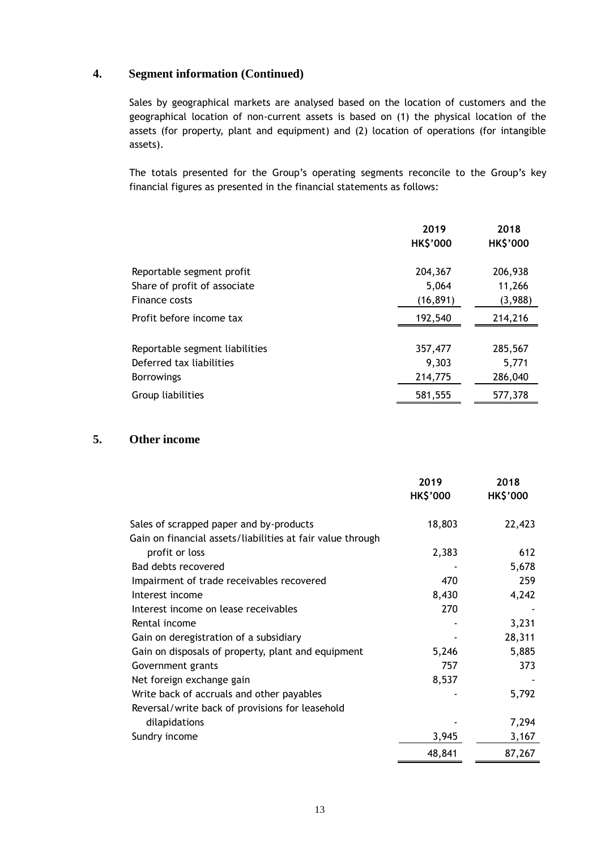# **4. Segment information (Continued)**

Sales by geographical markets are analysed based on the location of customers and the geographical location of non-current assets is based on (1) the physical location of the assets (for property, plant and equipment) and (2) location of operations (for intangible assets).

The totals presented for the Group's operating segments reconcile to the Group's key financial figures as presented in the financial statements as follows:

|                                | 2019<br><b>HK\$'000</b> | 2018<br><b>HK\$'000</b> |
|--------------------------------|-------------------------|-------------------------|
| Reportable segment profit      | 204,367                 | 206,938                 |
| Share of profit of associate   | 5,064                   | 11,266                  |
| Finance costs                  | (16, 891)               | (3,988)                 |
| Profit before income tax       | 192,540                 | 214,216                 |
|                                |                         |                         |
| Reportable segment liabilities | 357,477                 | 285,567                 |
| Deferred tax liabilities       | 9,303                   | 5,771                   |
| <b>Borrowings</b>              | 214,775                 | 286,040                 |
| Group liabilities              | 581,555                 | 577,378                 |

# **5. Other income**

|                                                            | 2019<br><b>HK\$'000</b> | 2018<br><b>HK\$'000</b> |
|------------------------------------------------------------|-------------------------|-------------------------|
| Sales of scrapped paper and by-products                    | 18,803                  | 22,423                  |
| Gain on financial assets/liabilities at fair value through |                         |                         |
| profit or loss                                             | 2,383                   | 612                     |
| Bad debts recovered                                        |                         | 5,678                   |
| Impairment of trade receivables recovered                  | 470                     | 259                     |
| Interest income                                            | 8,430                   | 4,242                   |
| Interest income on lease receivables                       | 270                     |                         |
| Rental income                                              |                         | 3,231                   |
| Gain on deregistration of a subsidiary                     |                         | 28,311                  |
| Gain on disposals of property, plant and equipment         | 5,246                   | 5,885                   |
| Government grants                                          | 757                     | 373                     |
| Net foreign exchange gain                                  | 8,537                   |                         |
| Write back of accruals and other payables                  |                         | 5,792                   |
| Reversal/write back of provisions for leasehold            |                         |                         |
| dilapidations                                              |                         | 7,294                   |
| Sundry income                                              | 3,945                   | 3,167                   |
|                                                            | 48,841                  | 87,267                  |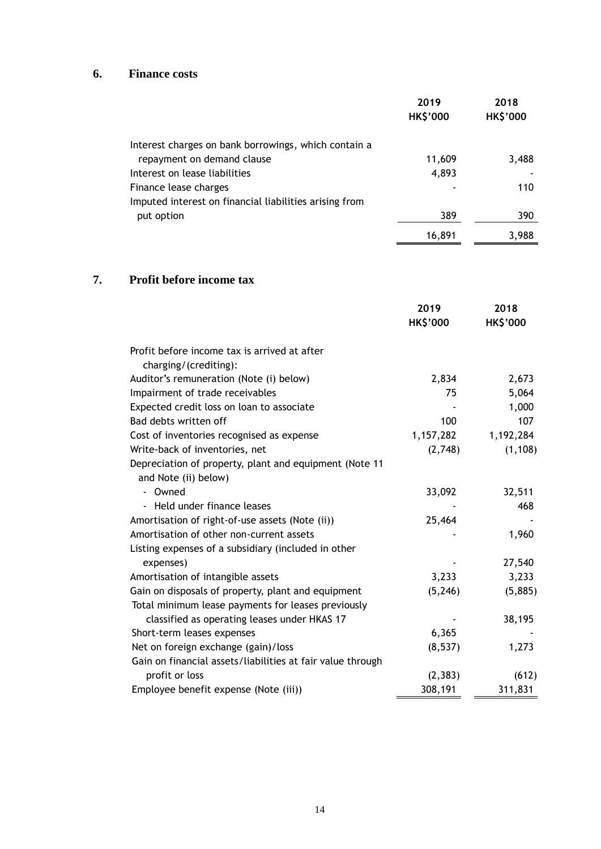# **6. Finance costs**

|                                                        | 2019            | 2018            |
|--------------------------------------------------------|-----------------|-----------------|
|                                                        | <b>HK\$'000</b> | <b>HK\$'000</b> |
|                                                        |                 |                 |
| Interest charges on bank borrowings, which contain a   |                 |                 |
| repayment on demand clause                             | 11,609          | 3,488           |
| Interest on lease liabilities                          | 4,893           |                 |
| Finance lease charges                                  |                 | 110             |
| Imputed interest on financial liabilities arising from |                 |                 |
| put option                                             | 389             | 390             |
|                                                        | 16,891          | 3,988           |

# **7. Profit before income tax**

|                                                                       | 2019<br><b>HK\$'000</b> | 2018<br><b>HK\$'000</b> |
|-----------------------------------------------------------------------|-------------------------|-------------------------|
| Profit before income tax is arrived at after<br>charging/(crediting): |                         |                         |
| Auditor's remuneration (Note (i) below)                               | 2,834                   | 2,673                   |
| Impairment of trade receivables                                       | 75                      | 5,064                   |
| Expected credit loss on loan to associate                             |                         | 1,000                   |
| Bad debts written off                                                 | 100                     | 107                     |
| Cost of inventories recognised as expense                             | 1,157,282               | 1,192,284               |
| Write-back of inventories, net                                        | (2,748)                 | (1, 108)                |
| Depreciation of property, plant and equipment (Note 11                |                         |                         |
| and Note (ii) below)                                                  |                         |                         |
| - Owned                                                               | 33,092                  | 32,511                  |
| - Held under finance leases                                           |                         | 468                     |
| Amortisation of right-of-use assets (Note (ii))                       | 25,464                  |                         |
| Amortisation of other non-current assets                              |                         | 1,960                   |
| Listing expenses of a subsidiary (included in other                   |                         |                         |
| expenses)                                                             |                         | 27,540                  |
| Amortisation of intangible assets                                     | 3,233                   | 3,233                   |
| Gain on disposals of property, plant and equipment                    | (5, 246)                | (5,885)                 |
| Total minimum lease payments for leases previously                    |                         |                         |
| classified as operating leases under HKAS 17                          |                         | 38,195                  |
| Short-term leases expenses                                            | 6,365                   |                         |
| Net on foreign exchange (gain)/loss                                   | (8, 537)                | 1,273                   |
| Gain on financial assets/liabilities at fair value through            |                         |                         |
| profit or loss                                                        | (2, 383)                | (612)                   |
| Employee benefit expense (Note (iii))                                 | 308,191                 | 311,831                 |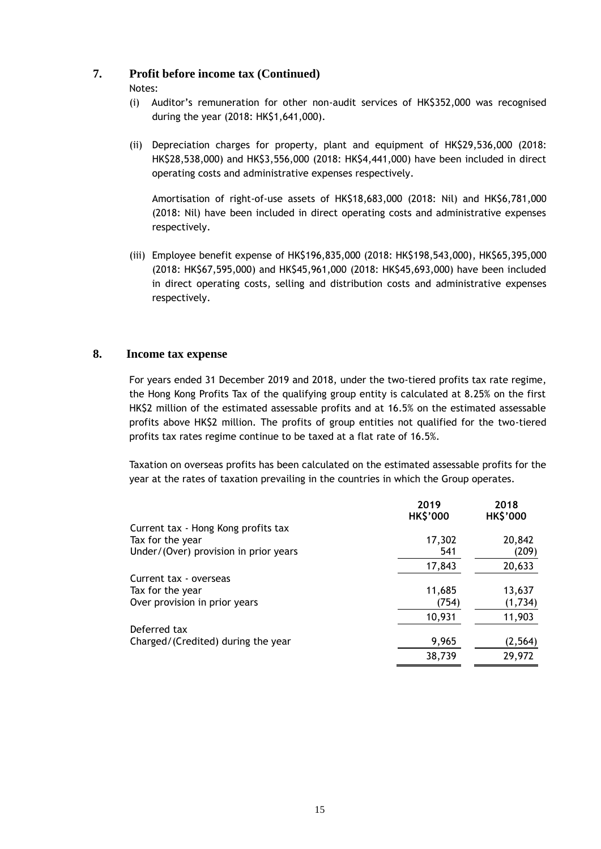# **7. Profit before income tax (Continued)**

- Notes:
- (i) Auditor's remuneration for other non-audit services of HK\$352,000 was recognised during the year (2018: HK\$1,641,000).
- (ii) Depreciation charges for property, plant and equipment of HK\$29,536,000 (2018: HK\$28,538,000) and HK\$3,556,000 (2018: HK\$4,441,000) have been included in direct operating costs and administrative expenses respectively.

Amortisation of right-of-use assets of HK\$18,683,000 (2018: Nil) and HK\$6,781,000 (2018: Nil) have been included in direct operating costs and administrative expenses respectively.

(iii) Employee benefit expense of HK\$196,835,000 (2018: HK\$198,543,000), HK\$65,395,000 (2018: HK\$67,595,000) and HK\$45,961,000 (2018: HK\$45,693,000) have been included in direct operating costs, selling and distribution costs and administrative expenses respectively.

# **8. Income tax expense**

For years ended 31 December 2019 and 2018, under the two-tiered profits tax rate regime, the Hong Kong Profits Tax of the qualifying group entity is calculated at 8.25% on the first HK\$2 million of the estimated assessable profits and at 16.5% on the estimated assessable profits above HK\$2 million. The profits of group entities not qualified for the two-tiered profits tax rates regime continue to be taxed at a flat rate of 16.5%.

Taxation on overseas profits has been calculated on the estimated assessable profits for the year at the rates of taxation prevailing in the countries in which the Group operates.

|                                       | 2019<br><b>HK\$'000</b> | 2018<br><b>HK\$'000</b> |
|---------------------------------------|-------------------------|-------------------------|
| Current tax - Hong Kong profits tax   |                         |                         |
| Tax for the year                      | 17,302                  | 20,842                  |
| Under/(Over) provision in prior years | 541                     | (209)                   |
|                                       | 17,843                  | 20,633                  |
| Current tax - overseas                |                         |                         |
| Tax for the year                      | 11,685                  | 13,637                  |
| Over provision in prior years         | (754)                   | (1,734)                 |
|                                       | 10,931                  | 11,903                  |
| Deferred tax                          |                         |                         |
| Charged/(Credited) during the year    | 9,965                   | (2, 564)                |
|                                       | 38,739                  | 29,972                  |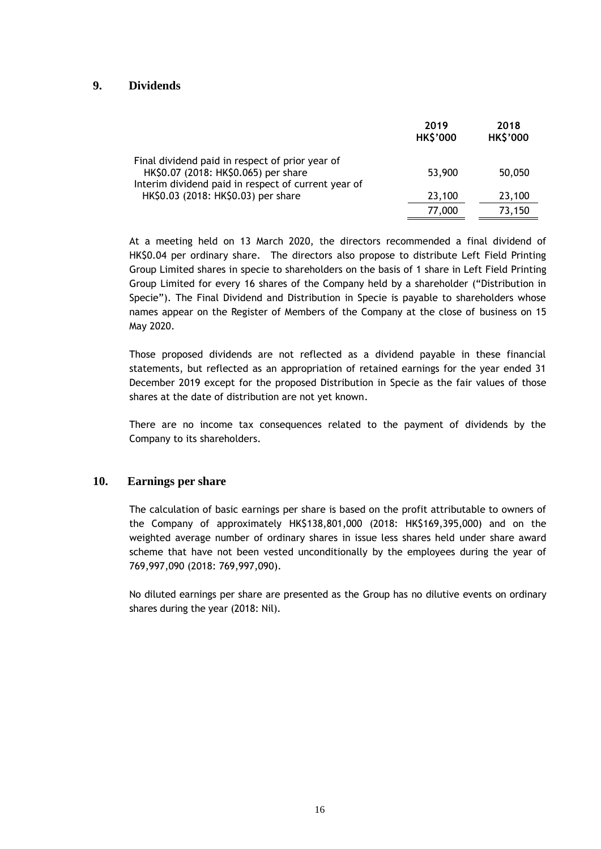# **9. Dividends**

|                                                     | 2019<br><b>HK\$'000</b> | 2018<br><b>HK\$'000</b> |
|-----------------------------------------------------|-------------------------|-------------------------|
| Final dividend paid in respect of prior year of     |                         |                         |
| HK\$0.07 (2018: HK\$0.065) per share                | 53,900                  | 50,050                  |
| Interim dividend paid in respect of current year of |                         |                         |
| HK\$0.03 (2018: HK\$0.03) per share                 | 23,100                  | 23,100                  |
|                                                     | 77,000                  | 73,150                  |

At a meeting held on 13 March 2020, the directors recommended a final dividend of HK\$0.04 per ordinary share. The directors also propose to distribute Left Field Printing Group Limited shares in specie to shareholders on the basis of 1 share in Left Field Printing Group Limited for every 16 shares of the Company held by a shareholder ("Distribution in Specie"). The Final Dividend and Distribution in Specie is payable to shareholders whose names appear on the Register of Members of the Company at the close of business on 15 May 2020.

Those proposed dividends are not reflected as a dividend payable in these financial statements, but reflected as an appropriation of retained earnings for the year ended 31 December 2019 except for the proposed Distribution in Specie as the fair values of those shares at the date of distribution are not yet known.

There are no income tax consequences related to the payment of dividends by the Company to its shareholders.

#### **10. Earnings per share**

The calculation of basic earnings per share is based on the profit attributable to owners of the Company of approximately HK\$138,801,000 (2018: HK\$169,395,000) and on the weighted average number of ordinary shares in issue less shares held under share award scheme that have not been vested unconditionally by the employees during the year of 769,997,090 (2018: 769,997,090).

No diluted earnings per share are presented as the Group has no dilutive events on ordinary shares during the year (2018: Nil).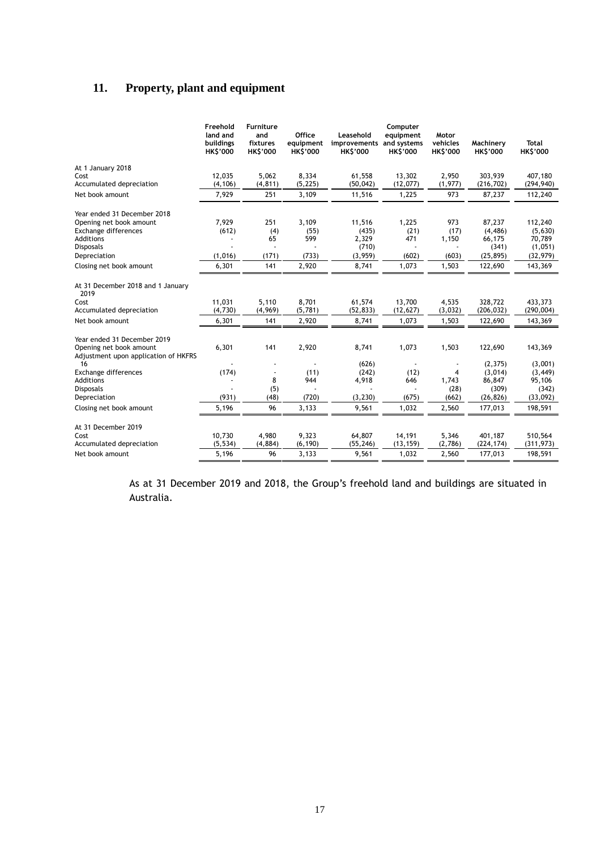# **11. Property, plant and equipment**

|                                                                 | Freehold<br>land and<br>buildings<br><b>HK\$'000</b> | <b>Furniture</b><br>and<br>fixtures<br><b>HK\$'000</b> | Office<br>equipment<br><b>HK\$'000</b> | Leasehold<br>improvements and systems<br><b>HKS'000</b> | Computer<br>equipment<br><b>HKS'000</b> | Motor<br>vehicles<br><b>HK\$'000</b> | Machinery<br><b>HK\$'000</b> | <b>Total</b><br><b>HK\$'000</b> |
|-----------------------------------------------------------------|------------------------------------------------------|--------------------------------------------------------|----------------------------------------|---------------------------------------------------------|-----------------------------------------|--------------------------------------|------------------------------|---------------------------------|
| At 1 January 2018                                               |                                                      |                                                        |                                        |                                                         |                                         |                                      |                              |                                 |
| Cost                                                            | 12,035                                               | 5,062                                                  | 8,334                                  | 61,558                                                  | 13,302                                  | 2,950                                | 303.939                      | 407.180                         |
| Accumulated depreciation                                        | (4, 106)                                             | (4, 811)                                               | (5, 225)                               | (50, 042)                                               | (12, 077)                               | (1, 977)                             | (216, 702)                   | (294, 940)                      |
| Net book amount                                                 | 7,929                                                | 251                                                    | 3,109                                  | 11,516                                                  | 1,225                                   | 973                                  | 87,237                       | 112,240                         |
| Year ended 31 December 2018                                     |                                                      |                                                        |                                        |                                                         |                                         |                                      |                              |                                 |
| Opening net book amount                                         | 7,929                                                | 251                                                    | 3,109                                  | 11,516                                                  | 1,225                                   | 973                                  | 87,237                       | 112,240                         |
| Exchange differences                                            | (612)                                                | (4)                                                    | (55)                                   | (435)                                                   | (21)                                    | (17)                                 | (4, 486)                     | (5,630)                         |
| Additions                                                       |                                                      | 65                                                     | 599                                    | 2,329                                                   | 471                                     | 1,150                                | 66,175                       | 70,789                          |
| <b>Disposals</b>                                                |                                                      |                                                        |                                        | (710)                                                   |                                         |                                      | (341)                        | (1,051)                         |
| Depreciation                                                    | (1,016)                                              | (171)                                                  | (733)                                  | (3,959)                                                 | (602)                                   | (603)                                | (25, 895)                    | (32, 979)                       |
| Closing net book amount                                         | 6,301                                                | 141                                                    | 2,920                                  | 8,741                                                   | 1,073                                   | 1,503                                | 122,690                      | 143,369                         |
| At 31 December 2018 and 1 January<br>2019                       |                                                      |                                                        |                                        |                                                         |                                         |                                      |                              |                                 |
| Cost                                                            | 11.031                                               | 5,110                                                  | 8,701                                  | 61,574                                                  | 13,700                                  | 4,535                                | 328,722                      | 433,373                         |
| Accumulated depreciation                                        | (4, 730)                                             | (4,969)                                                | (5,781)                                | (52, 833)                                               | (12, 627)                               | (3,032)                              | (206, 032)                   | (290, 004)                      |
| Net book amount                                                 | 6,301                                                | 141                                                    | 2,920                                  | 8,741                                                   | 1,073                                   | 1,503                                | 122,690                      | 143,369                         |
| Year ended 31 December 2019                                     |                                                      |                                                        |                                        |                                                         |                                         |                                      |                              |                                 |
| Opening net book amount<br>Adjustment upon application of HKFRS | 6,301                                                | 141                                                    | 2,920                                  | 8,741                                                   | 1,073                                   | 1,503                                | 122,690                      | 143,369                         |
| 16                                                              |                                                      |                                                        |                                        | (626)                                                   |                                         |                                      | (2, 375)                     | (3,001)                         |
| Exchange differences                                            | (174)                                                |                                                        | (11)                                   | (242)                                                   | (12)                                    | 4                                    | (3,014)                      | (3, 449)                        |
| <b>Additions</b><br><b>Disposals</b>                            |                                                      | 8<br>(5)                                               | 944                                    | 4,918                                                   | 646                                     | 1,743<br>(28)                        | 86,847<br>(309)              | 95,106<br>(342)                 |
| Depreciation                                                    | (931)                                                | (48)                                                   | (720)                                  | (3, 230)                                                | (675)                                   | (662)                                | (26, 826)                    | (33,092)                        |
| Closing net book amount                                         | 5,196                                                | 96                                                     | 3,133                                  | 9,561                                                   | 1,032                                   | 2,560                                | 177,013                      | 198,591                         |
|                                                                 |                                                      |                                                        |                                        |                                                         |                                         |                                      |                              |                                 |
| At 31 December 2019                                             |                                                      |                                                        |                                        |                                                         |                                         |                                      |                              |                                 |
| Cost                                                            | 10,730                                               | 4,980                                                  | 9,323                                  | 64,807                                                  | 14,191                                  | 5,346                                | 401,187                      | 510,564                         |
| Accumulated depreciation                                        | (5, 534)                                             | (4, 884)                                               | (6, 190)                               | (55, 246)                                               | (13, 159)                               | (2,786)                              | (224, 174)                   | (311, 973)                      |
| Net book amount                                                 | 5,196                                                | 96                                                     | 3,133                                  | 9,561                                                   | 1,032                                   | 2,560                                | 177,013                      | 198,591                         |

As at 31 December 2019 and 2018, the Group's freehold land and buildings are situated in Australia.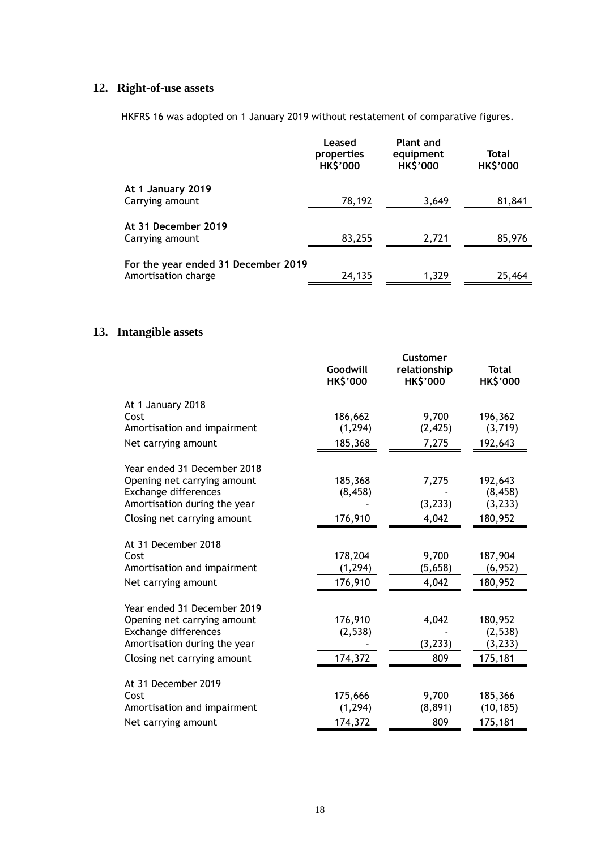# **12. Right-of-use assets**

HKFRS 16 was adopted on 1 January 2019 without restatement of comparative figures.

|                                                            | Leased<br>properties<br><b>HK\$'000</b> | <b>Plant and</b><br>equipment<br><b>HK\$'000</b> | Total<br><b>HK\$'000</b> |
|------------------------------------------------------------|-----------------------------------------|--------------------------------------------------|--------------------------|
| At 1 January 2019<br>Carrying amount                       | 78,192                                  | 3,649                                            | 81,841                   |
| At 31 December 2019<br>Carrying amount                     | 83,255                                  | 2,721                                            | 85,976                   |
| For the year ended 31 December 2019<br>Amortisation charge | 24,135                                  | 1,329                                            | 25,464                   |

# **13. Intangible assets**

|                              | Goodwill<br><b>HK\$'000</b> | <b>Customer</b><br>relationship<br><b>HK\$'000</b> | <b>Total</b><br><b>HK\$'000</b> |
|------------------------------|-----------------------------|----------------------------------------------------|---------------------------------|
| At 1 January 2018            |                             |                                                    |                                 |
| Cost                         | 186,662                     | 9,700                                              | 196,362                         |
| Amortisation and impairment  | (1, 294)                    | (2, 425)                                           | (3,719)                         |
| Net carrying amount          | 185,368                     | 7,275                                              | 192,643                         |
| Year ended 31 December 2018  |                             |                                                    |                                 |
| Opening net carrying amount  | 185,368                     | 7,275                                              | 192,643                         |
| <b>Exchange differences</b>  | (8, 458)                    |                                                    | (8, 458)                        |
| Amortisation during the year |                             | (3, 233)                                           | (3,233)                         |
| Closing net carrying amount  | 176,910                     | 4,042                                              | 180,952                         |
| At 31 December 2018          |                             |                                                    |                                 |
| Cost                         | 178,204                     | 9,700                                              | 187,904                         |
| Amortisation and impairment  | (1, 294)                    | (5,658)                                            | (6,952)                         |
| Net carrying amount          | 176,910                     | 4,042                                              | 180,952                         |
| Year ended 31 December 2019  |                             |                                                    |                                 |
| Opening net carrying amount  | 176,910                     | 4,042                                              | 180,952                         |
| <b>Exchange differences</b>  | (2,538)                     |                                                    | (2,538)                         |
| Amortisation during the year |                             | (3, 233)                                           | (3, 233)                        |
| Closing net carrying amount  | 174,372                     | 809                                                | 175,181                         |
| At 31 December 2019          |                             |                                                    |                                 |
| Cost                         | 175,666                     | 9,700                                              | 185,366                         |
| Amortisation and impairment  | (1, 294)                    | (8, 891)                                           | (10, 185)                       |
| Net carrying amount          | 174,372                     | 809                                                | 175,181                         |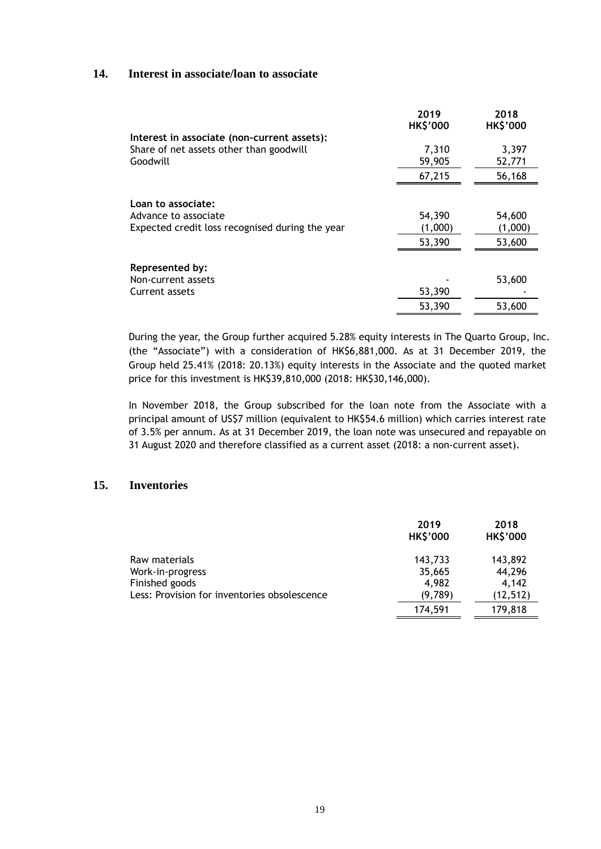#### **14. Interest in associate/loan to associate**

|                                                                                                    | 2019<br><b>HK\$'000</b> | 2018<br><b>HK\$'000</b> |
|----------------------------------------------------------------------------------------------------|-------------------------|-------------------------|
| Interest in associate (non-current assets):<br>Share of net assets other than goodwill<br>Goodwill | 7,310<br>59,905         | 3,397<br>52,771         |
|                                                                                                    | 67,215                  | 56,168                  |
| Loan to associate:                                                                                 |                         |                         |
| Advance to associate<br>Expected credit loss recognised during the year                            | 54,390<br>(1,000)       | 54,600<br>(1,000)       |
|                                                                                                    | 53,390                  | 53,600                  |
| Represented by:                                                                                    |                         |                         |
| Non-current assets                                                                                 |                         | 53,600                  |
| Current assets                                                                                     | 53,390                  |                         |
|                                                                                                    | 53,390                  | 53,600                  |

During the year, the Group further acquired 5.28% equity interests in The Quarto Group, Inc. (the "Associate") with a consideration of HK\$6,881,000. As at 31 December 2019, the Group held 25.41% (2018: 20.13%) equity interests in the Associate and the quoted market price for this investment is HK\$39,810,000 (2018: HK\$30,146,000).

In November 2018, the Group subscribed for the loan note from the Associate with a principal amount of US\$7 million (equivalent to HK\$54.6 million) which carries interest rate of 3.5% per annum. As at 31 December 2019, the loan note was unsecured and repayable on 31 August 2020 and therefore classified as a current asset (2018: a non-current asset).

#### **15. Inventories**

|                                              | 2019<br><b>HK\$'000</b> | 2018<br><b>HK\$'000</b> |
|----------------------------------------------|-------------------------|-------------------------|
| Raw materials                                | 143,733                 | 143,892                 |
| Work-in-progress                             | 35,665                  | 44,296                  |
| Finished goods                               | 4.982                   | 4.142                   |
| Less: Provision for inventories obsolescence | (9,789)                 | (12, 512)               |
|                                              | 174,591                 | 179,818                 |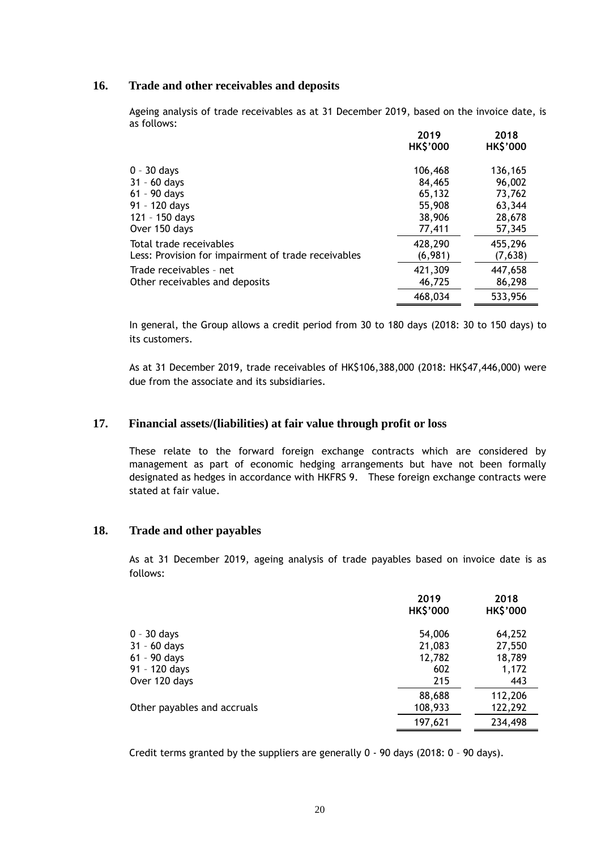#### **16. Trade and other receivables and deposits**

Ageing analysis of trade receivables as at 31 December 2019, based on the invoice date, is as follows:

|                                                     | 2019<br><b>HK\$'000</b> | 2018<br><b>HK\$'000</b> |
|-----------------------------------------------------|-------------------------|-------------------------|
| $0 - 30$ days                                       | 106,468                 | 136,165                 |
| $31 - 60$ days                                      | 84,465                  | 96,002                  |
| $61 - 90$ days                                      | 65.132                  | 73,762                  |
| 91 - 120 days                                       | 55,908                  | 63,344                  |
| 121 - 150 days                                      | 38,906                  | 28,678                  |
| Over 150 days                                       | 77,411                  | 57,345                  |
| Total trade receivables                             | 428,290                 | 455,296                 |
| Less: Provision for impairment of trade receivables | (6,981)                 | (7,638)                 |
| Trade receivables - net                             | 421,309                 | 447,658                 |
| Other receivables and deposits                      | 46,725                  | 86,298                  |
|                                                     | 468,034                 | 533,956                 |

In general, the Group allows a credit period from 30 to 180 days (2018: 30 to 150 days) to its customers.

As at 31 December 2019, trade receivables of HK\$106,388,000 (2018: HK\$47,446,000) were due from the associate and its subsidiaries.

#### **17. Financial assets/(liabilities) at fair value through profit or loss**

These relate to the forward foreign exchange contracts which are considered by management as part of economic hedging arrangements but have not been formally designated as hedges in accordance with HKFRS 9. These foreign exchange contracts were stated at fair value.

#### **18. Trade and other payables**

As at 31 December 2019, ageing analysis of trade payables based on invoice date is as follows:

|                             | 2019<br><b>HK\$'000</b> | 2018<br><b>HK\$'000</b> |
|-----------------------------|-------------------------|-------------------------|
| $0 - 30$ days               | 54,006                  | 64,252                  |
| $31 - 60$ days              | 21,083                  | 27,550                  |
| $61 - 90$ days              | 12,782                  | 18,789                  |
| 91 - 120 days               | 602                     | 1,172                   |
| Over 120 days               | 215                     | 443                     |
|                             | 88,688                  | 112,206                 |
| Other payables and accruals | 108,933                 | 122,292                 |
|                             | 197,621                 | 234,498                 |

Credit terms granted by the suppliers are generally 0 - 90 days (2018: 0 – 90 days).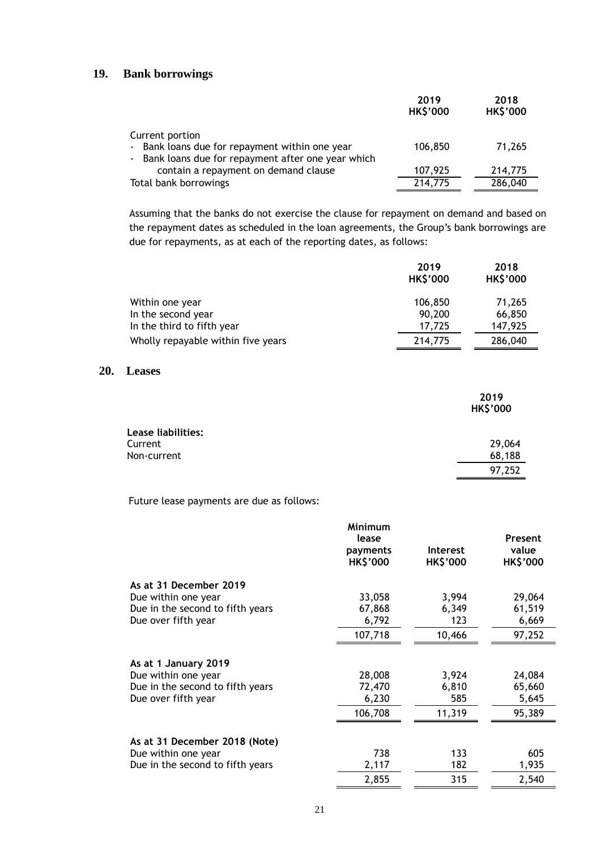# **19. Bank borrowings**

|                                                                                                                          | 2019<br><b>HK\$'000</b> | 2018<br><b>HK\$'000</b> |
|--------------------------------------------------------------------------------------------------------------------------|-------------------------|-------------------------|
| Current portion<br>- Bank loans due for repayment within one year<br>- Bank loans due for repayment after one year which | 106,850                 | 71,265                  |
| contain a repayment on demand clause                                                                                     | 107,925                 | 214,775                 |
| Total bank borrowings                                                                                                    | 214,775                 | 286,040                 |

Assuming that the banks do not exercise the clause for repayment on demand and based on the repayment dates as scheduled in the loan agreements, the Group's bank borrowings are due for repayments, as at each of the reporting dates, as follows:

|                                    | 2019<br><b>HK\$'000</b> | 2018<br><b>HK\$'000</b> |
|------------------------------------|-------------------------|-------------------------|
| Within one year                    | 106,850                 | 71,265                  |
| In the second year                 | 90,200                  | 66,850                  |
| In the third to fifth year         | 17.725                  | 147,925                 |
| Wholly repayable within five years | 214,775                 | 286,040                 |

#### **20. Leases**

|                    | 2019<br><b>HK\$'000</b> |
|--------------------|-------------------------|
| Lease liabilities: |                         |
| Current            | 29,064                  |
| Non-current        | 68,188                  |
|                    | 97,252                  |

Future lease payments are due as follows:

| Minimum<br>lease<br>payments<br><b>HK\$'000</b> | <b>Interest</b><br><b>HK\$'000</b> | <b>Present</b><br>value<br><b>HK\$'000</b> |
|-------------------------------------------------|------------------------------------|--------------------------------------------|
|                                                 |                                    |                                            |
| 33,058                                          | 3,994                              | 29,064                                     |
| 67,868                                          | 6,349                              | 61,519                                     |
| 6,792                                           | 123                                | 6,669                                      |
| 107,718                                         | 10,466                             | 97,252                                     |
|                                                 |                                    |                                            |
| 28,008                                          | 3,924                              | 24,084                                     |
| 72,470                                          | 6,810                              | 65,660                                     |
| 6,230                                           | 585                                | 5,645                                      |
| 106,708                                         | 11,319                             | 95,389                                     |
|                                                 |                                    |                                            |
| 738                                             | 133                                | 605                                        |
| 2,117                                           | 182                                | 1,935                                      |
| 2,855                                           | 315                                | 2,540                                      |
|                                                 |                                    |                                            |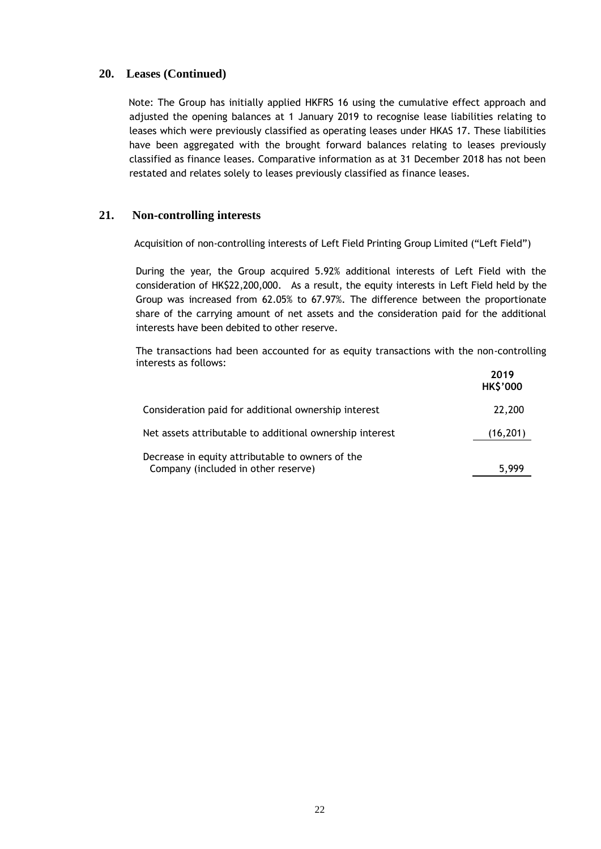#### **20. Leases (Continued)**

Note: The Group has initially applied HKFRS 16 using the cumulative effect approach and adjusted the opening balances at 1 January 2019 to recognise lease liabilities relating to leases which were previously classified as operating leases under HKAS 17. These liabilities have been aggregated with the brought forward balances relating to leases previously classified as finance leases. Comparative information as at 31 December 2018 has not been restated and relates solely to leases previously classified as finance leases.

### **21. Non-controlling interests**

Acquisition of non-controlling interests of Left Field Printing Group Limited ("Left Field")

During the year, the Group acquired 5.92% additional interests of Left Field with the consideration of HK\$22,200,000. As a result, the equity interests in Left Field held by the Group was increased from 62.05% to 67.97%. The difference between the proportionate share of the carrying amount of net assets and the consideration paid for the additional interests have been debited to other reserve.

The transactions had been accounted for as equity transactions with the non-controlling interests as follows: **2019**

|                                                                                         | 2019<br><b>HK\$'000</b> |
|-----------------------------------------------------------------------------------------|-------------------------|
| Consideration paid for additional ownership interest                                    | 22,200                  |
| Net assets attributable to additional ownership interest                                | (16, 201)               |
| Decrease in equity attributable to owners of the<br>Company (included in other reserve) | 5.999                   |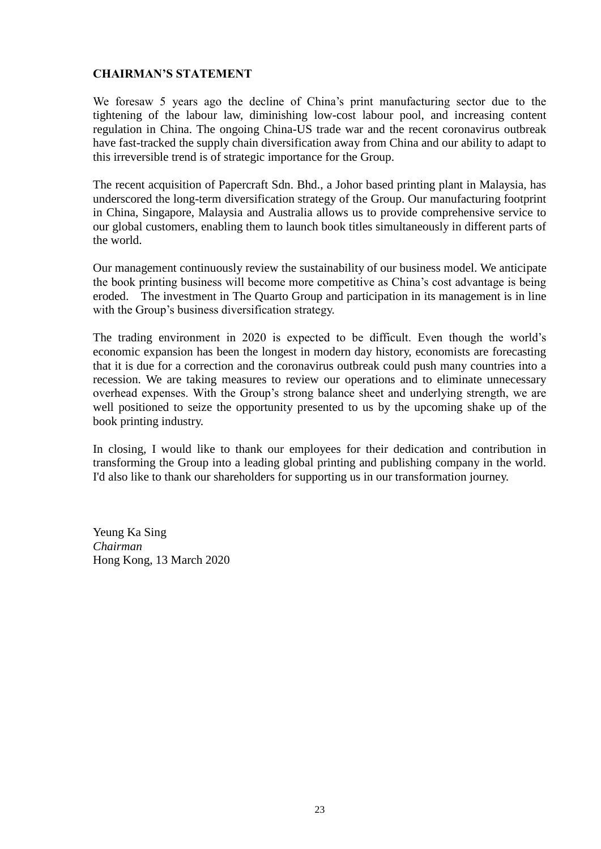# **CHAIRMAN'S STATEMENT**

We foresaw 5 years ago the decline of China's print manufacturing sector due to the tightening of the labour law, diminishing low-cost labour pool, and increasing content regulation in China. The ongoing China-US trade war and the recent coronavirus outbreak have fast-tracked the supply chain diversification away from China and our ability to adapt to this irreversible trend is of strategic importance for the Group.

The recent acquisition of Papercraft Sdn. Bhd., a Johor based printing plant in Malaysia, has underscored the long-term diversification strategy of the Group. Our manufacturing footprint in China, Singapore, Malaysia and Australia allows us to provide comprehensive service to our global customers, enabling them to launch book titles simultaneously in different parts of the world.

Our management continuously review the sustainability of our business model. We anticipate the book printing business will become more competitive as China's cost advantage is being eroded. The investment in The Quarto Group and participation in its management is in line with the Group's business diversification strategy.

The trading environment in 2020 is expected to be difficult. Even though the world's economic expansion has been the longest in modern day history, economists are forecasting that it is due for a correction and the coronavirus outbreak could push many countries into a recession. We are taking measures to review our operations and to eliminate unnecessary overhead expenses. With the Group's strong balance sheet and underlying strength, we are well positioned to seize the opportunity presented to us by the upcoming shake up of the book printing industry.

In closing, I would like to thank our employees for their dedication and contribution in transforming the Group into a leading global printing and publishing company in the world. I'd also like to thank our shareholders for supporting us in our transformation journey.

Yeung Ka Sing *Chairman* Hong Kong, 13 March 2020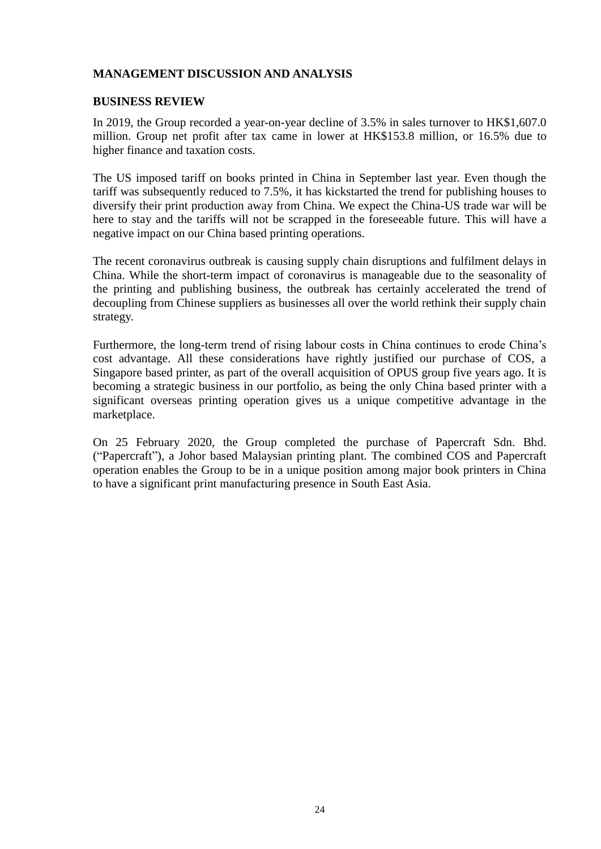# **MANAGEMENT DISCUSSION AND ANALYSIS**

### **BUSINESS REVIEW**

In 2019, the Group recorded a year-on-year decline of 3.5% in sales turnover to HK\$1,607.0 million. Group net profit after tax came in lower at HK\$153.8 million, or 16.5% due to higher finance and taxation costs.

The US imposed tariff on books printed in China in September last year. Even though the tariff was subsequently reduced to 7.5%, it has kickstarted the trend for publishing houses to diversify their print production away from China. We expect the China-US trade war will be here to stay and the tariffs will not be scrapped in the foreseeable future. This will have a negative impact on our China based printing operations.

The recent coronavirus outbreak is causing supply chain disruptions and fulfilment delays in China. While the short-term impact of coronavirus is manageable due to the seasonality of the printing and publishing business, the outbreak has certainly accelerated the trend of decoupling from Chinese suppliers as businesses all over the world rethink their supply chain strategy.

Furthermore, the long-term trend of rising labour costs in China continues to erode China's cost advantage. All these considerations have rightly justified our purchase of COS, a Singapore based printer, as part of the overall acquisition of OPUS group five years ago. It is becoming a strategic business in our portfolio, as being the only China based printer with a significant overseas printing operation gives us a unique competitive advantage in the marketplace.

On 25 February 2020, the Group completed the purchase of Papercraft Sdn. Bhd. ("Papercraft"), a Johor based Malaysian printing plant. The combined COS and Papercraft operation enables the Group to be in a unique position among major book printers in China to have a significant print manufacturing presence in South East Asia.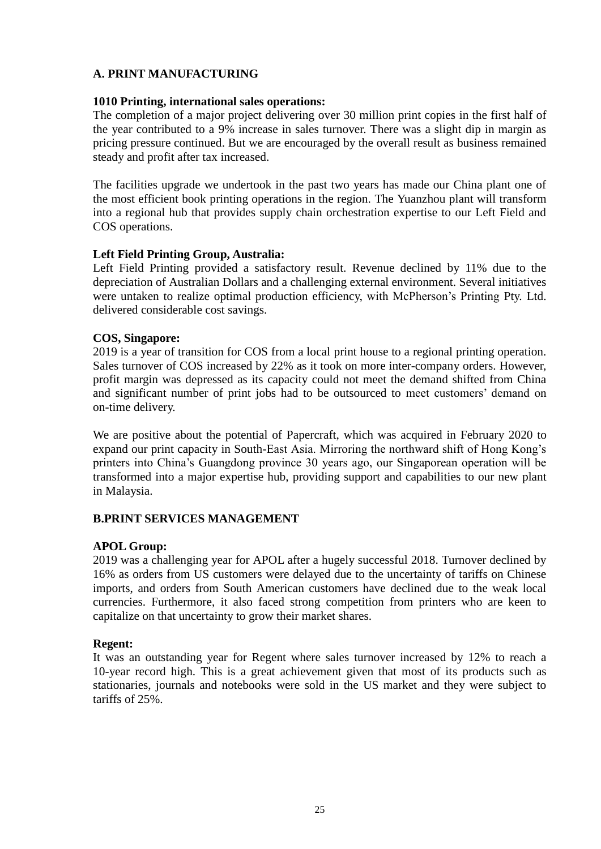# **A. PRINT MANUFACTURING**

# **1010 Printing, international sales operations:**

The completion of a major project delivering over 30 million print copies in the first half of the year contributed to a 9% increase in sales turnover. There was a slight dip in margin as pricing pressure continued. But we are encouraged by the overall result as business remained steady and profit after tax increased.

The facilities upgrade we undertook in the past two years has made our China plant one of the most efficient book printing operations in the region. The Yuanzhou plant will transform into a regional hub that provides supply chain orchestration expertise to our Left Field and COS operations.

# **Left Field Printing Group, Australia:**

Left Field Printing provided a satisfactory result. Revenue declined by 11% due to the depreciation of Australian Dollars and a challenging external environment. Several initiatives were untaken to realize optimal production efficiency, with McPherson's Printing Pty. Ltd. delivered considerable cost savings.

### **COS, Singapore:**

2019 is a year of transition for COS from a local print house to a regional printing operation. Sales turnover of COS increased by 22% as it took on more inter-company orders. However, profit margin was depressed as its capacity could not meet the demand shifted from China and significant number of print jobs had to be outsourced to meet customers' demand on on-time delivery.

We are positive about the potential of Papercraft, which was acquired in February 2020 to expand our print capacity in South-East Asia. Mirroring the northward shift of Hong Kong's printers into China's Guangdong province 30 years ago, our Singaporean operation will be transformed into a major expertise hub, providing support and capabilities to our new plant in Malaysia.

# **B.PRINT SERVICES MANAGEMENT**

### **APOL Group:**

2019 was a challenging year for APOL after a hugely successful 2018. Turnover declined by 16% as orders from US customers were delayed due to the uncertainty of tariffs on Chinese imports, and orders from South American customers have declined due to the weak local currencies. Furthermore, it also faced strong competition from printers who are keen to capitalize on that uncertainty to grow their market shares.

### **Regent:**

It was an outstanding year for Regent where sales turnover increased by 12% to reach a 10-year record high. This is a great achievement given that most of its products such as stationaries, journals and notebooks were sold in the US market and they were subject to tariffs of 25%.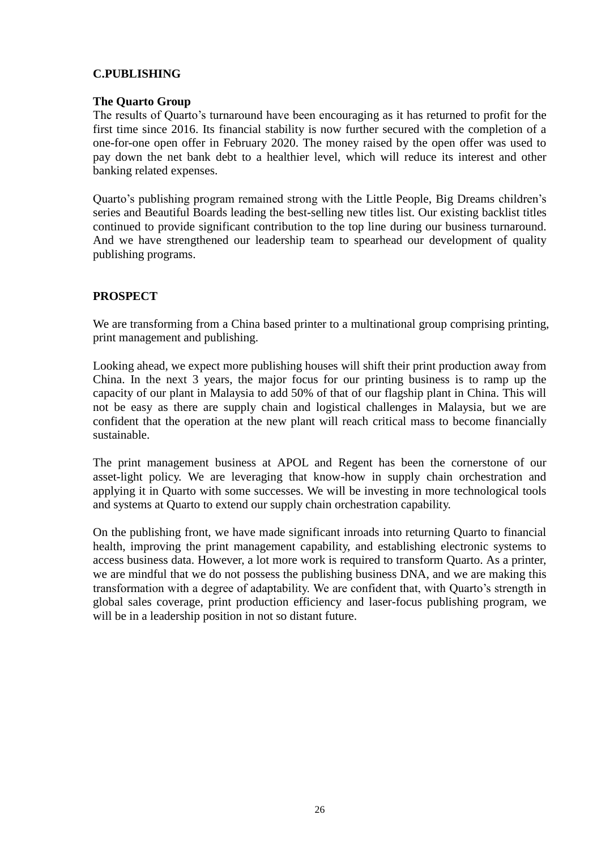# **C.PUBLISHING**

# **The Quarto Group**

The results of Quarto's turnaround have been encouraging as it has returned to profit for the first time since 2016. Its financial stability is now further secured with the completion of a one-for-one open offer in February 2020. The money raised by the open offer was used to pay down the net bank debt to a healthier level, which will reduce its interest and other banking related expenses.

Quarto's publishing program remained strong with the Little People, Big Dreams children's series and Beautiful Boards leading the best-selling new titles list. Our existing backlist titles continued to provide significant contribution to the top line during our business turnaround. And we have strengthened our leadership team to spearhead our development of quality publishing programs.

# **PROSPECT**

We are transforming from a China based printer to a multinational group comprising printing, print management and publishing.

Looking ahead, we expect more publishing houses will shift their print production away from China. In the next 3 years, the major focus for our printing business is to ramp up the capacity of our plant in Malaysia to add 50% of that of our flagship plant in China. This will not be easy as there are supply chain and logistical challenges in Malaysia, but we are confident that the operation at the new plant will reach critical mass to become financially sustainable.

The print management business at APOL and Regent has been the cornerstone of our asset-light policy. We are leveraging that know-how in supply chain orchestration and applying it in Quarto with some successes. We will be investing in more technological tools and systems at Quarto to extend our supply chain orchestration capability.

On the publishing front, we have made significant inroads into returning Quarto to financial health, improving the print management capability, and establishing electronic systems to access business data. However, a lot more work is required to transform Quarto. As a printer, we are mindful that we do not possess the publishing business DNA, and we are making this transformation with a degree of adaptability. We are confident that, with Quarto's strength in global sales coverage, print production efficiency and laser-focus publishing program, we will be in a leadership position in not so distant future.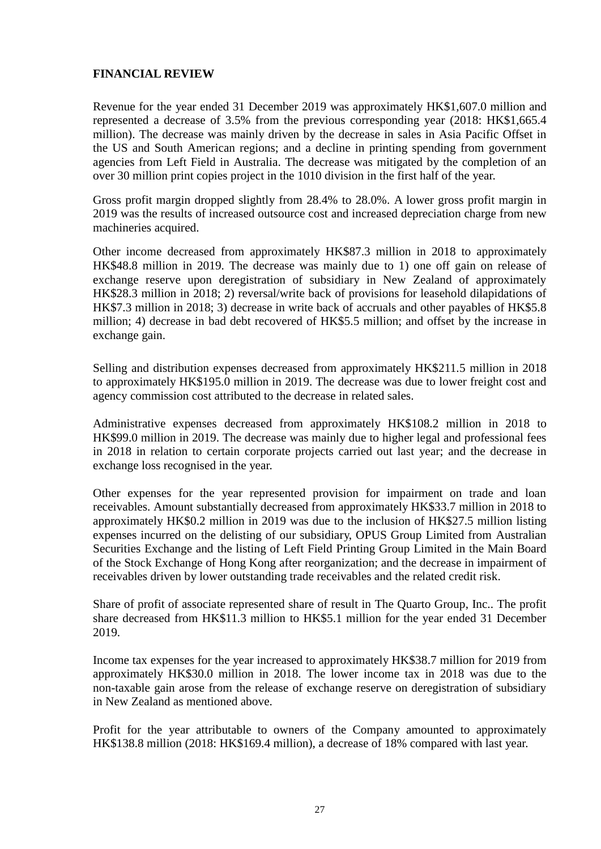# **FINANCIAL REVIEW**

Revenue for the year ended 31 December 2019 was approximately HK\$1,607.0 million and represented a decrease of 3.5% from the previous corresponding year (2018: HK\$1,665.4 million). The decrease was mainly driven by the decrease in sales in Asia Pacific Offset in the US and South American regions; and a decline in printing spending from government agencies from Left Field in Australia. The decrease was mitigated by the completion of an over 30 million print copies project in the 1010 division in the first half of the year.

Gross profit margin dropped slightly from 28.4% to 28.0%. A lower gross profit margin in 2019 was the results of increased outsource cost and increased depreciation charge from new machineries acquired.

Other income decreased from approximately HK\$87.3 million in 2018 to approximately HK\$48.8 million in 2019. The decrease was mainly due to 1) one off gain on release of exchange reserve upon deregistration of subsidiary in New Zealand of approximately HK\$28.3 million in 2018; 2) reversal/write back of provisions for leasehold dilapidations of HK\$7.3 million in 2018; 3) decrease in write back of accruals and other payables of HK\$5.8 million; 4) decrease in bad debt recovered of HK\$5.5 million; and offset by the increase in exchange gain.

Selling and distribution expenses decreased from approximately HK\$211.5 million in 2018 to approximately HK\$195.0 million in 2019. The decrease was due to lower freight cost and agency commission cost attributed to the decrease in related sales.

Administrative expenses decreased from approximately HK\$108.2 million in 2018 to HK\$99.0 million in 2019. The decrease was mainly due to higher legal and professional fees in 2018 in relation to certain corporate projects carried out last year; and the decrease in exchange loss recognised in the year.

Other expenses for the year represented provision for impairment on trade and loan receivables. Amount substantially decreased from approximately HK\$33.7 million in 2018 to approximately HK\$0.2 million in 2019 was due to the inclusion of HK\$27.5 million listing expenses incurred on the delisting of our subsidiary, OPUS Group Limited from Australian Securities Exchange and the listing of Left Field Printing Group Limited in the Main Board of the Stock Exchange of Hong Kong after reorganization; and the decrease in impairment of receivables driven by lower outstanding trade receivables and the related credit risk.

Share of profit of associate represented share of result in The Quarto Group, Inc.. The profit share decreased from HK\$11.3 million to HK\$5.1 million for the year ended 31 December 2019.

Income tax expenses for the year increased to approximately HK\$38.7 million for 2019 from approximately HK\$30.0 million in 2018. The lower income tax in 2018 was due to the non-taxable gain arose from the release of exchange reserve on deregistration of subsidiary in New Zealand as mentioned above.

Profit for the year attributable to owners of the Company amounted to approximately HK\$138.8 million (2018: HK\$169.4 million), a decrease of 18% compared with last year.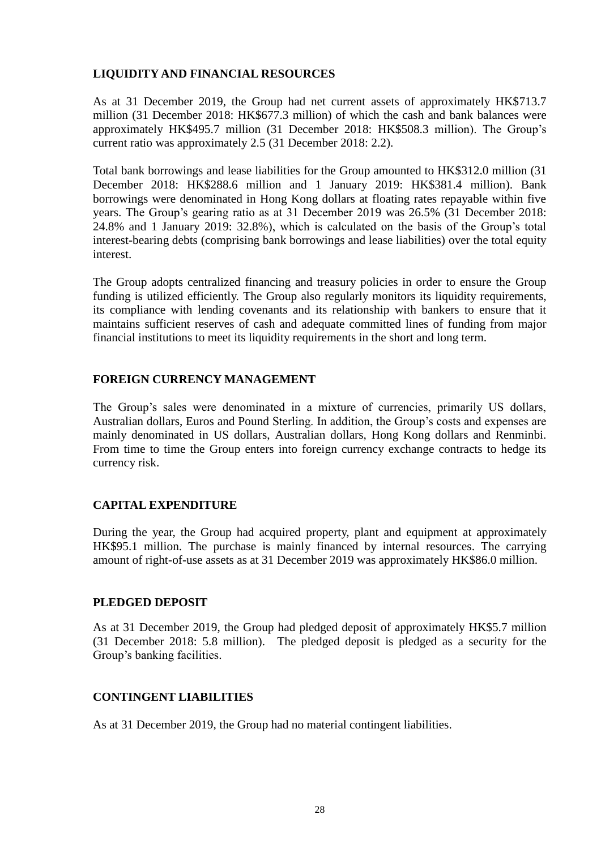# **LIQUIDITY AND FINANCIAL RESOURCES**

As at 31 December 2019, the Group had net current assets of approximately HK\$713.7 million (31 December 2018: HK\$677.3 million) of which the cash and bank balances were approximately HK\$495.7 million (31 December 2018: HK\$508.3 million). The Group's current ratio was approximately 2.5 (31 December 2018: 2.2).

Total bank borrowings and lease liabilities for the Group amounted to HK\$312.0 million (31 December 2018: HK\$288.6 million and 1 January 2019: HK\$381.4 million). Bank borrowings were denominated in Hong Kong dollars at floating rates repayable within five years. The Group's gearing ratio as at 31 December 2019 was 26.5% (31 December 2018: 24.8% and 1 January 2019: 32.8%), which is calculated on the basis of the Group's total interest-bearing debts (comprising bank borrowings and lease liabilities) over the total equity interest.

The Group adopts centralized financing and treasury policies in order to ensure the Group funding is utilized efficiently. The Group also regularly monitors its liquidity requirements, its compliance with lending covenants and its relationship with bankers to ensure that it maintains sufficient reserves of cash and adequate committed lines of funding from major financial institutions to meet its liquidity requirements in the short and long term.

# **FOREIGN CURRENCY MANAGEMENT**

The Group's sales were denominated in a mixture of currencies, primarily US dollars, Australian dollars, Euros and Pound Sterling. In addition, the Group's costs and expenses are mainly denominated in US dollars, Australian dollars, Hong Kong dollars and Renminbi. From time to time the Group enters into foreign currency exchange contracts to hedge its currency risk.

### **CAPITAL EXPENDITURE**

During the year, the Group had acquired property, plant and equipment at approximately HK\$95.1 million. The purchase is mainly financed by internal resources. The carrying amount of right-of-use assets as at 31 December 2019 was approximately HK\$86.0 million.

### **PLEDGED DEPOSIT**

As at 31 December 2019, the Group had pledged deposit of approximately HK\$5.7 million (31 December 2018: 5.8 million). The pledged deposit is pledged as a security for the Group's banking facilities.

### **CONTINGENT LIABILITIES**

As at 31 December 2019, the Group had no material contingent liabilities.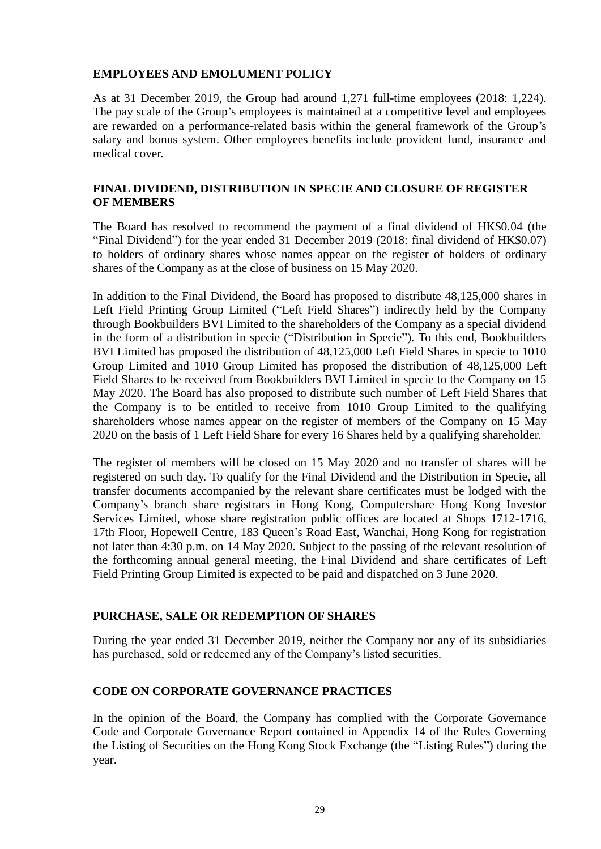# **EMPLOYEES AND EMOLUMENT POLICY**

As at 31 December 2019, the Group had around 1,271 full-time employees (2018: 1,224). The pay scale of the Group's employees is maintained at a competitive level and employees are rewarded on a performance-related basis within the general framework of the Group's salary and bonus system. Other employees benefits include provident fund, insurance and medical cover.

# **FINAL DIVIDEND, DISTRIBUTION IN SPECIE AND CLOSURE OF REGISTER OF MEMBERS**

The Board has resolved to recommend the payment of a final dividend of HK\$0.04 (the "Final Dividend") for the year ended 31 December 2019 (2018: final dividend of HK\$0.07) to holders of ordinary shares whose names appear on the register of holders of ordinary shares of the Company as at the close of business on 15 May 2020.

In addition to the Final Dividend, the Board has proposed to distribute 48,125,000 shares in Left Field Printing Group Limited ("Left Field Shares") indirectly held by the Company through Bookbuilders BVI Limited to the shareholders of the Company as a special dividend in the form of a distribution in specie ("Distribution in Specie"). To this end, Bookbuilders BVI Limited has proposed the distribution of 48,125,000 Left Field Shares in specie to 1010 Group Limited and 1010 Group Limited has proposed the distribution of 48,125,000 Left Field Shares to be received from Bookbuilders BVI Limited in specie to the Company on 15 May 2020. The Board has also proposed to distribute such number of Left Field Shares that the Company is to be entitled to receive from 1010 Group Limited to the qualifying shareholders whose names appear on the register of members of the Company on 15 May 2020 on the basis of 1 Left Field Share for every 16 Shares held by a qualifying shareholder.

The register of members will be closed on 15 May 2020 and no transfer of shares will be registered on such day. To qualify for the Final Dividend and the Distribution in Specie, all transfer documents accompanied by the relevant share certificates must be lodged with the Company's branch share registrars in Hong Kong, Computershare Hong Kong Investor Services Limited, whose share registration public offices are located at Shops 1712-1716, 17th Floor, Hopewell Centre, 183 Queen's Road East, Wanchai, Hong Kong for registration not later than 4:30 p.m. on 14 May 2020. Subject to the passing of the relevant resolution of the forthcoming annual general meeting, the Final Dividend and share certificates of Left Field Printing Group Limited is expected to be paid and dispatched on 3 June 2020.

# **PURCHASE, SALE OR REDEMPTION OF SHARES**

During the year ended 31 December 2019, neither the Company nor any of its subsidiaries has purchased, sold or redeemed any of the Company's listed securities.

### **CODE ON CORPORATE GOVERNANCE PRACTICES**

In the opinion of the Board, the Company has complied with the Corporate Governance Code and Corporate Governance Report contained in Appendix 14 of the Rules Governing the Listing of Securities on the Hong Kong Stock Exchange (the "Listing Rules") during the year.